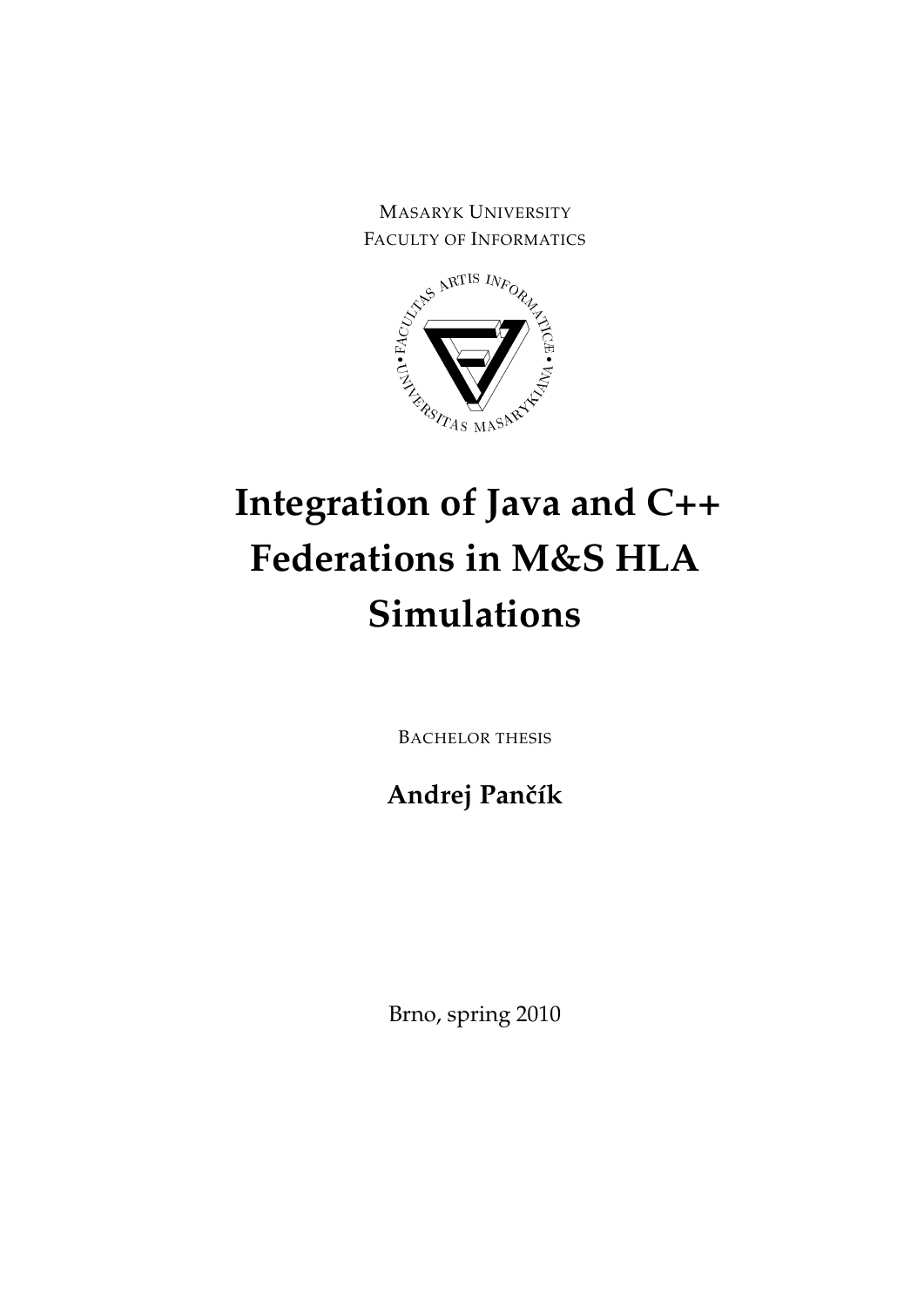MASARYK UNIVERSITY FACULTY OF INFORMATICS



# **Integration of Java and C++ Federations in M&S HLA Simulations**

BACHELOR THESIS

**Andrej Panˇcík**

Brno, spring 2010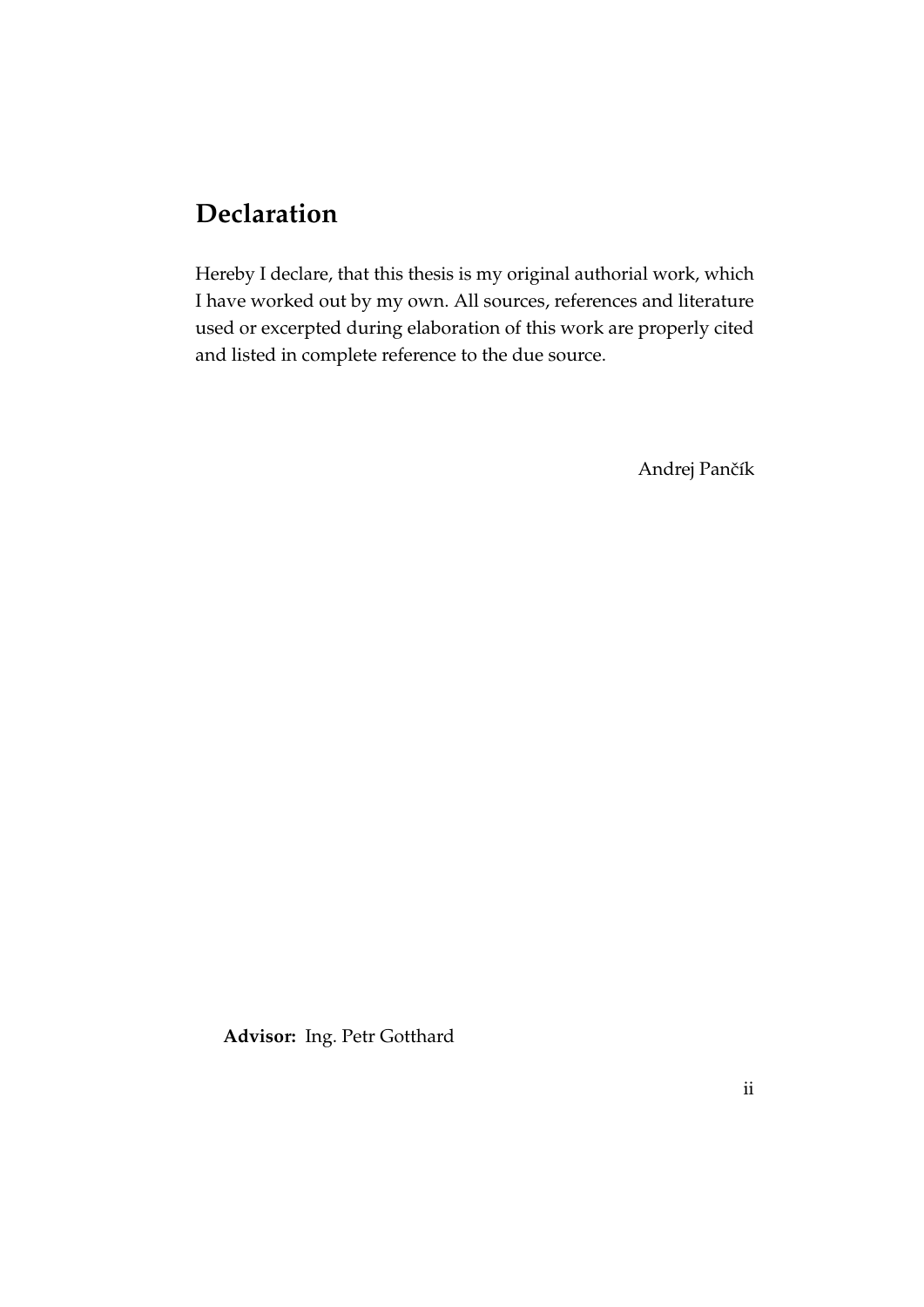# **Declaration**

Hereby I declare, that this thesis is my original authorial work, which I have worked out by my own. All sources, references and literature used or excerpted during elaboration of this work are properly cited and listed in complete reference to the due source.

Andrej Pančík

**Advisor:** Ing. Petr Gotthard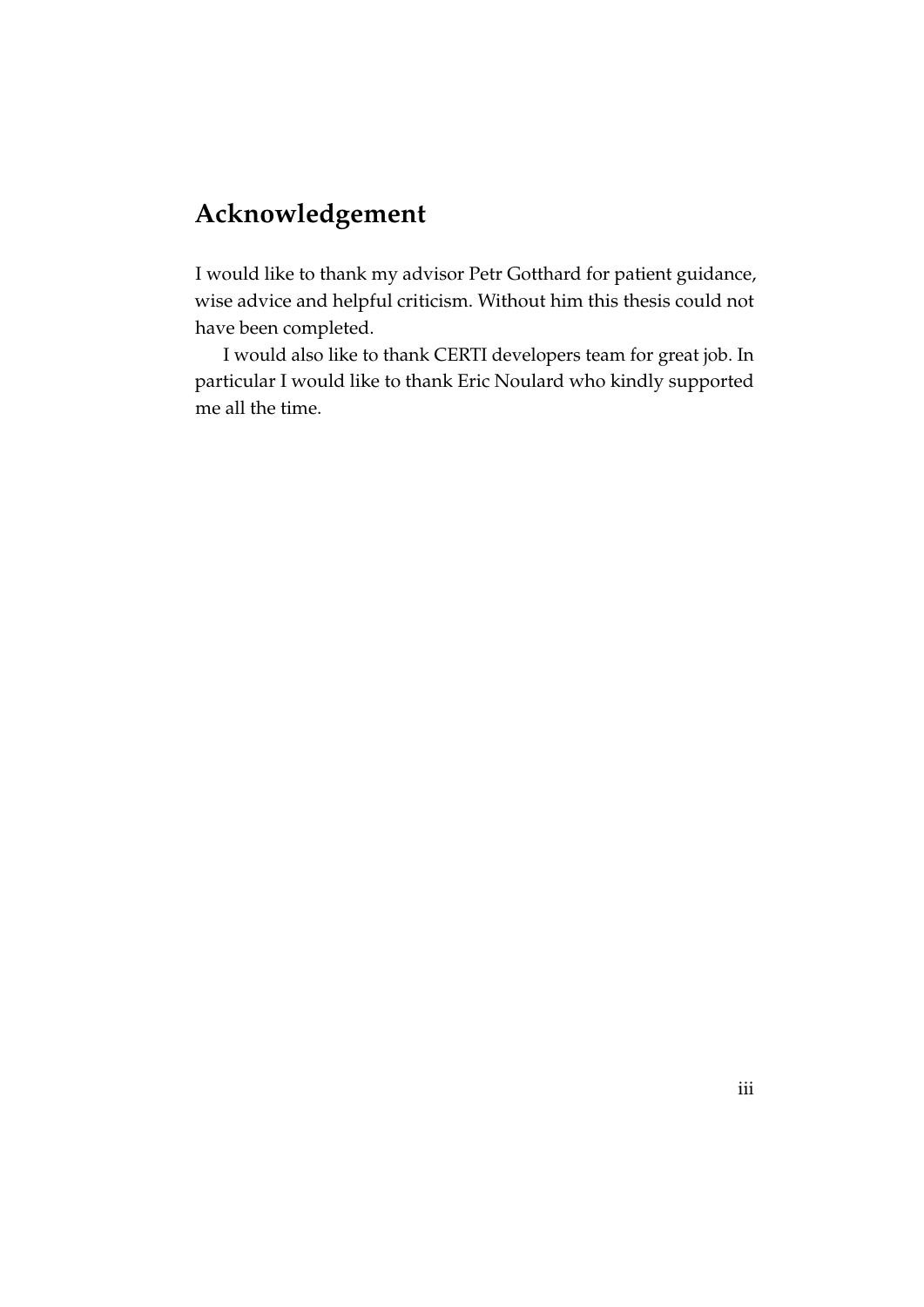# **Acknowledgement**

I would like to thank my advisor Petr Gotthard for patient guidance, wise advice and helpful criticism. Without him this thesis could not have been completed.

I would also like to thank CERTI developers team for great job. In particular I would like to thank Eric Noulard who kindly supported me all the time.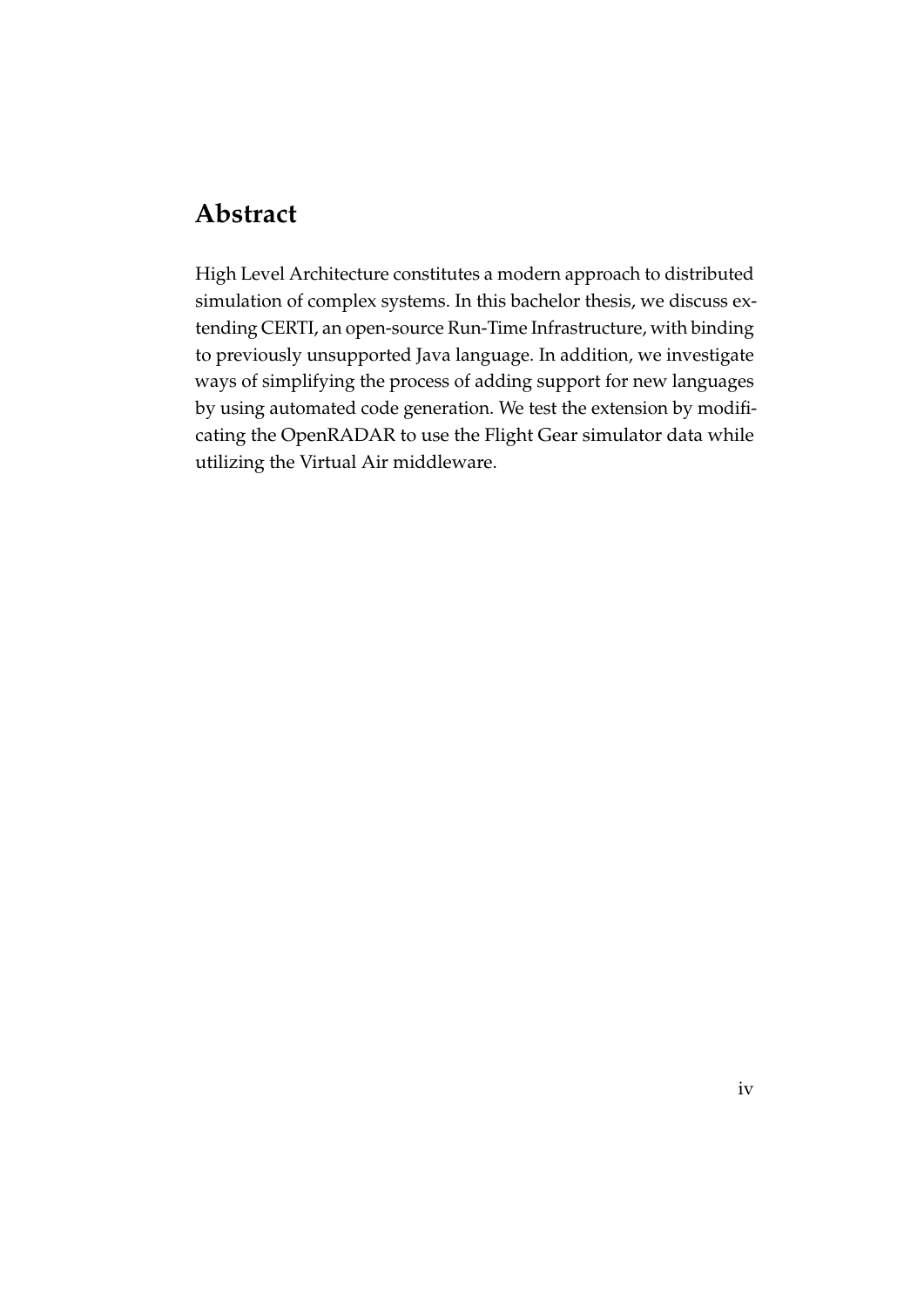# **Abstract**

High Level Architecture constitutes a modern approach to distributed simulation of complex systems. In this bachelor thesis, we discuss extending CERTI, an open-source Run-Time Infrastructure, with binding to previously unsupported Java language. In addition, we investigate ways of simplifying the process of adding support for new languages by using automated code generation. We test the extension by modificating the OpenRADAR to use the Flight Gear simulator data while utilizing the Virtual Air middleware.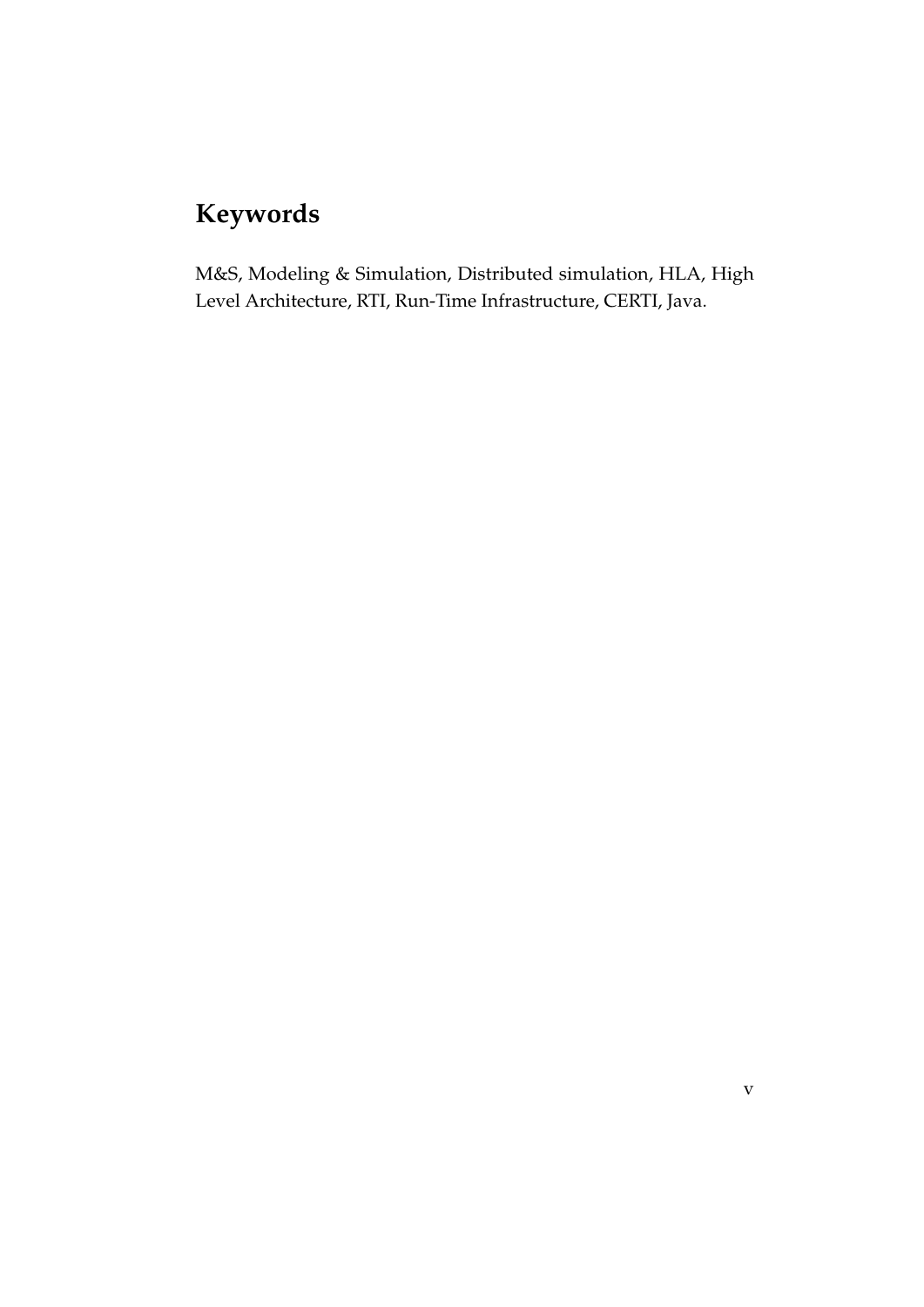# **Keywords**

M&S, Modeling & Simulation, Distributed simulation, HLA, High Level Architecture, RTI, Run-Time Infrastructure, CERTI, Java.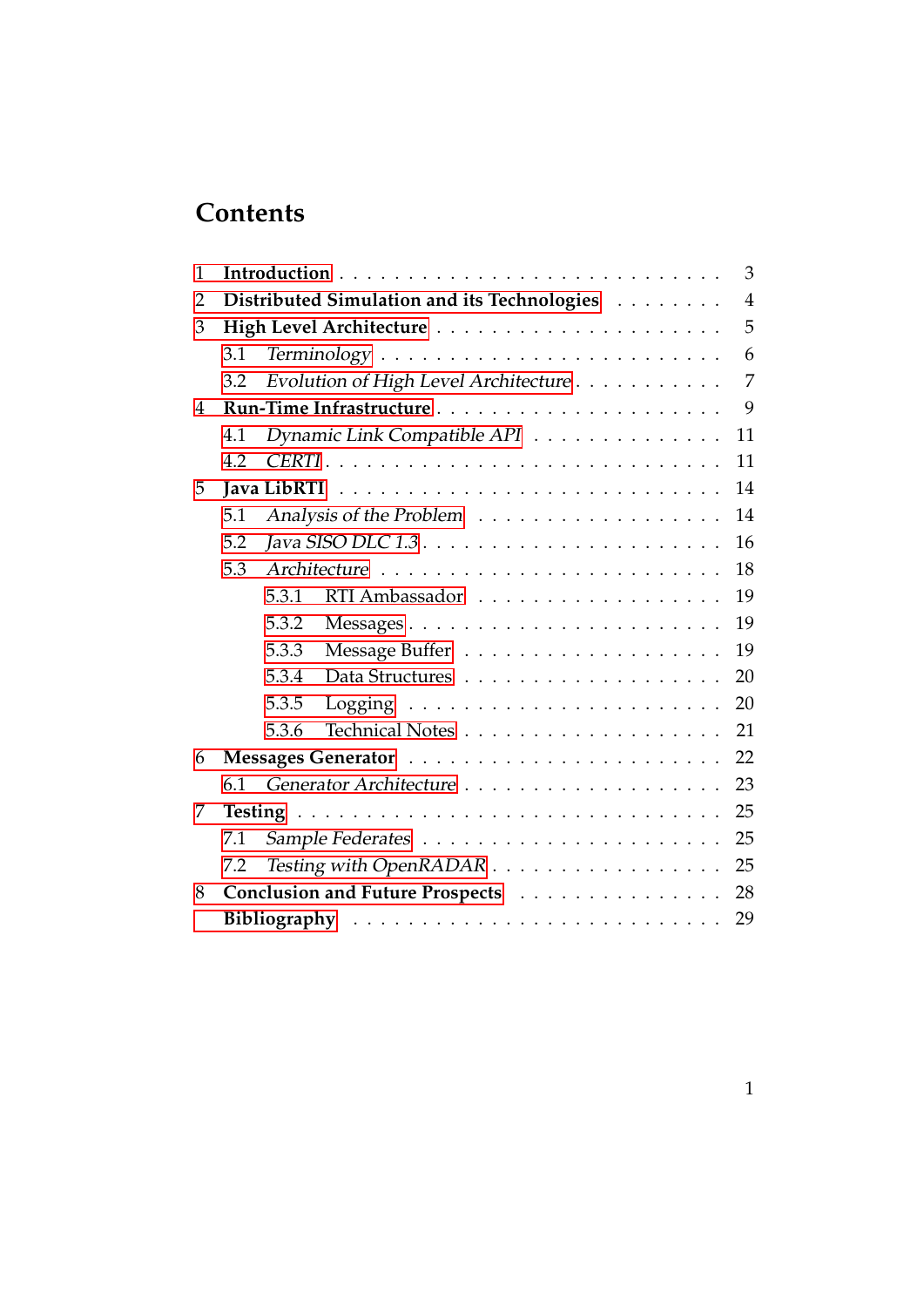# **Contents**

| $\mathbf{1}$ |     | 3                                                                           |
|--------------|-----|-----------------------------------------------------------------------------|
| 2            |     | $\overline{4}$<br>Distributed Simulation and its Technologies               |
| 3            |     | 5                                                                           |
|              | 3.1 | 6                                                                           |
|              | 3.2 | $\overline{7}$<br>Evolution of High Level Architecture                      |
| 4            |     | 9                                                                           |
|              | 4.1 | Dynamic Link Compatible API<br>11                                           |
|              | 4.2 | 11                                                                          |
| 5            |     | 14                                                                          |
|              | 5.1 | 14                                                                          |
|              | 5.2 | Java SISO DLC $1.3. \ldots \ldots \ldots \ldots \ldots \ldots \ldots$<br>16 |
|              | 5.3 | 18                                                                          |
|              |     | 19<br>5.3.1<br>RTI Ambassador                                               |
|              |     | 5.3.2<br>19                                                                 |
|              |     | 5.3.3<br>19                                                                 |
|              |     | 5.3.4<br>20                                                                 |
|              |     | 5.3.5<br>20                                                                 |
|              |     | 5.3.6<br>21                                                                 |
| 6            |     | 22                                                                          |
|              | 6.1 | 23                                                                          |
| 7            |     | 25                                                                          |
|              | 7.1 | 25                                                                          |
|              | 7.2 | Testing with OpenRADAR<br>25                                                |
| 8            |     | Conclusion and Future Prospects<br>28                                       |
|              |     | 29                                                                          |
|              |     |                                                                             |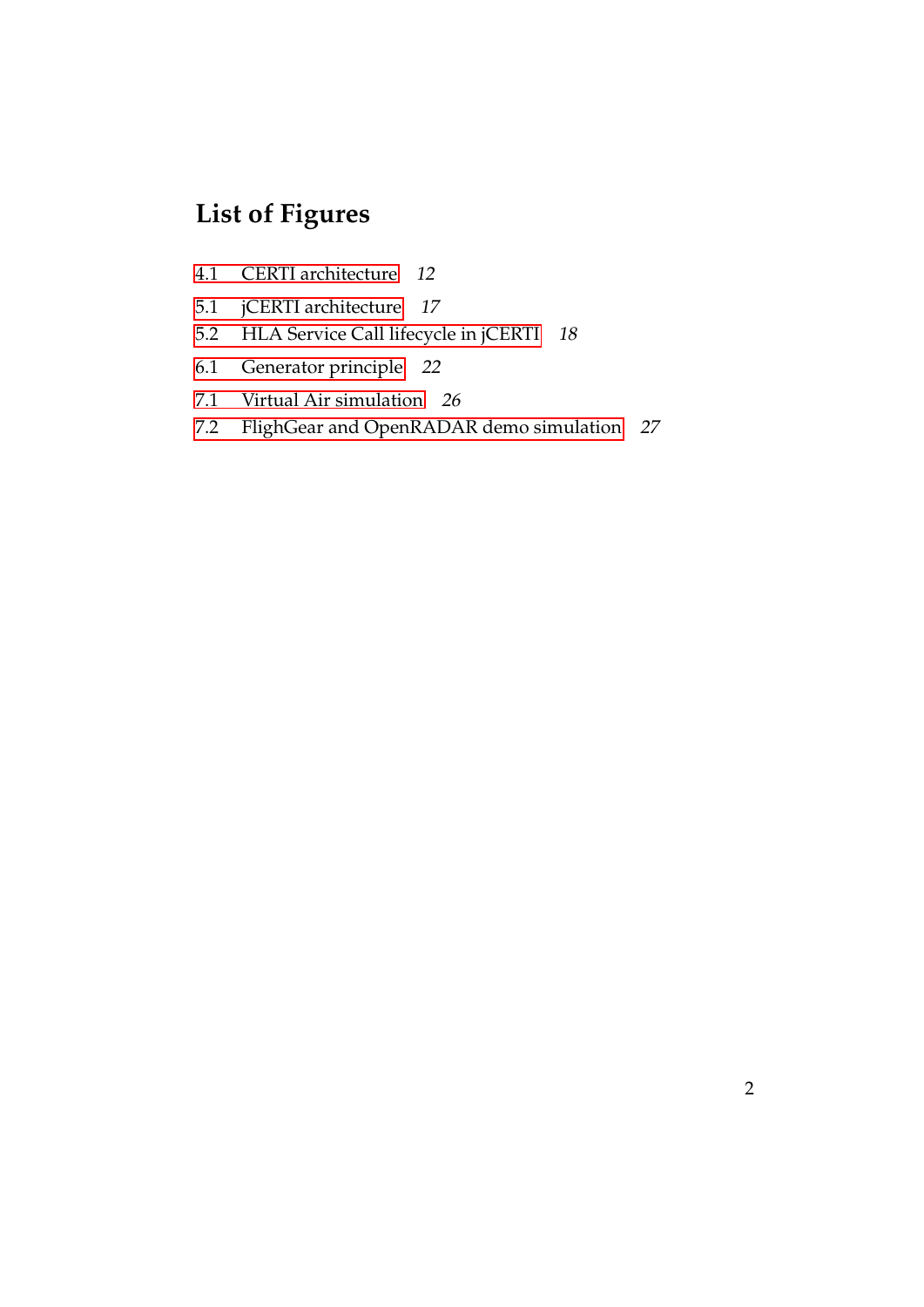# **List of Figures**

- [4.1 CERTI architecture](#page-16-0) 12
- [5.1 jCERTI architecture](#page-21-0) 17
- [5.2 HLA Service Call lifecycle in jCERTI](#page-22-1) 18
- [6.1 Generator principle](#page-26-1) 22
- [7.1 Virtual Air simulation](#page-30-0) 26
- [7.2 FlighGear and OpenRADAR demo simulation](#page-31-0) 27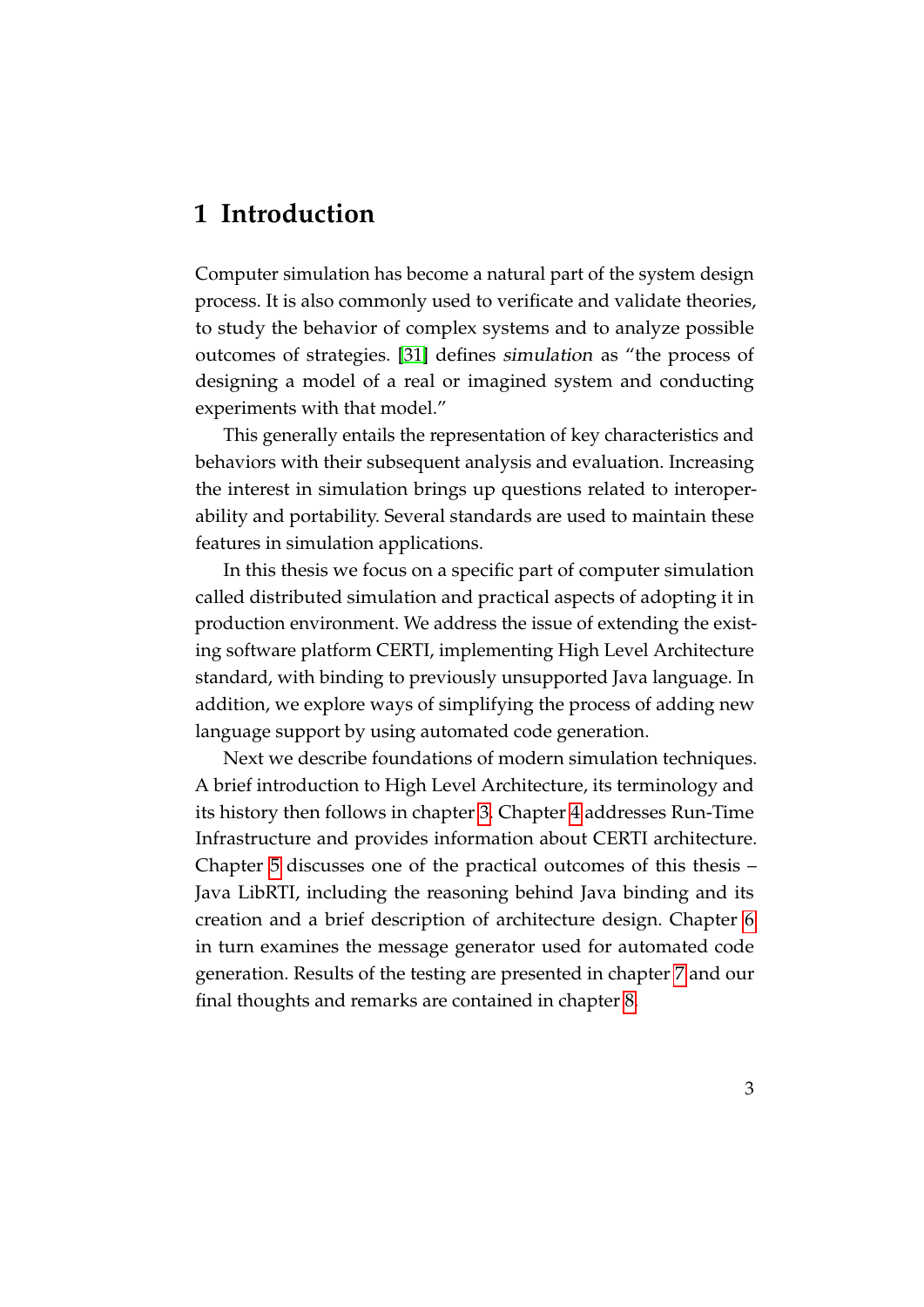## <span id="page-7-0"></span>**1 Introduction**

Computer simulation has become a natural part of the system design process. It is also commonly used to verificate and validate theories, to study the behavior of complex systems and to analyze possible outcomes of strategies. [\[31\]](#page-36-0) defines simulation as "the process of designing a model of a real or imagined system and conducting experiments with that model."

This generally entails the representation of key characteristics and behaviors with their subsequent analysis and evaluation. Increasing the interest in simulation brings up questions related to interoperability and portability. Several standards are used to maintain these features in simulation applications.

In this thesis we focus on a specific part of computer simulation called distributed simulation and practical aspects of adopting it in production environment. We address the issue of extending the existing software platform CERTI, implementing High Level Architecture standard, with binding to previously unsupported Java language. In addition, we explore ways of simplifying the process of adding new language support by using automated code generation.

Next we describe foundations of modern simulation techniques. A brief introduction to High Level Architecture, its terminology and its history then follows in chapter [3.](#page-9-0) Chapter [4](#page-13-0) addresses Run-Time Infrastructure and provides information about CERTI architecture. Chapter [5](#page-18-0) discusses one of the practical outcomes of this thesis – Java LibRTI, including the reasoning behind Java binding and its creation and a brief description of architecture design. Chapter [6](#page-26-0) in turn examines the message generator used for automated code generation. Results of the testing are presented in chapter [7](#page-29-0) and our final thoughts and remarks are contained in chapter [8.](#page-32-0)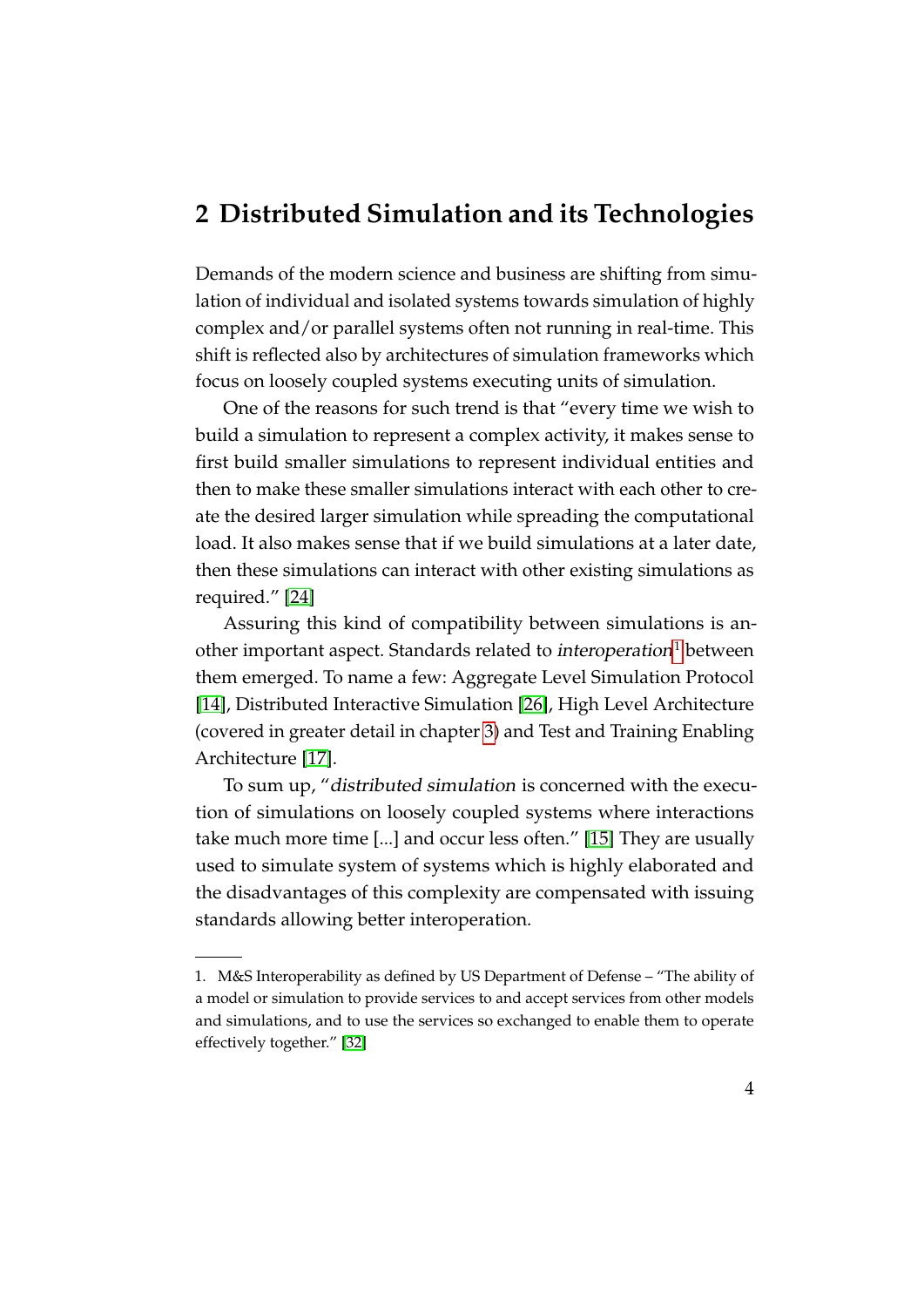### <span id="page-8-0"></span>**2 Distributed Simulation and its Technologies**

Demands of the modern science and business are shifting from simulation of individual and isolated systems towards simulation of highly complex and/or parallel systems often not running in real-time. This shift is reflected also by architectures of simulation frameworks which focus on loosely coupled systems executing units of simulation.

One of the reasons for such trend is that "every time we wish to build a simulation to represent a complex activity, it makes sense to first build smaller simulations to represent individual entities and then to make these smaller simulations interact with each other to create the desired larger simulation while spreading the computational load. It also makes sense that if we build simulations at a later date, then these simulations can interact with other existing simulations as required." [\[24\]](#page-35-0)

Assuring this kind of compatibility between simulations is an-other important aspect. Standards related to interoperation<sup>[1](#page-8-1)</sup> between them emerged. To name a few: Aggregate Level Simulation Protocol [\[14\]](#page-34-0), Distributed Interactive Simulation [\[26\]](#page-35-1), High Level Architecture (covered in greater detail in chapter [3\)](#page-9-0) and Test and Training Enabling Architecture [\[17\]](#page-34-1).

To sum up, "distributed simulation is concerned with the execution of simulations on loosely coupled systems where interactions take much more time [...] and occur less often." [\[15\]](#page-34-2) They are usually used to simulate system of systems which is highly elaborated and the disadvantages of this complexity are compensated with issuing standards allowing better interoperation.

<span id="page-8-1"></span><sup>1.</sup> M&S Interoperability as defined by US Department of Defense – "The ability of a model or simulation to provide services to and accept services from other models and simulations, and to use the services so exchanged to enable them to operate effectively together." [\[32\]](#page-36-1)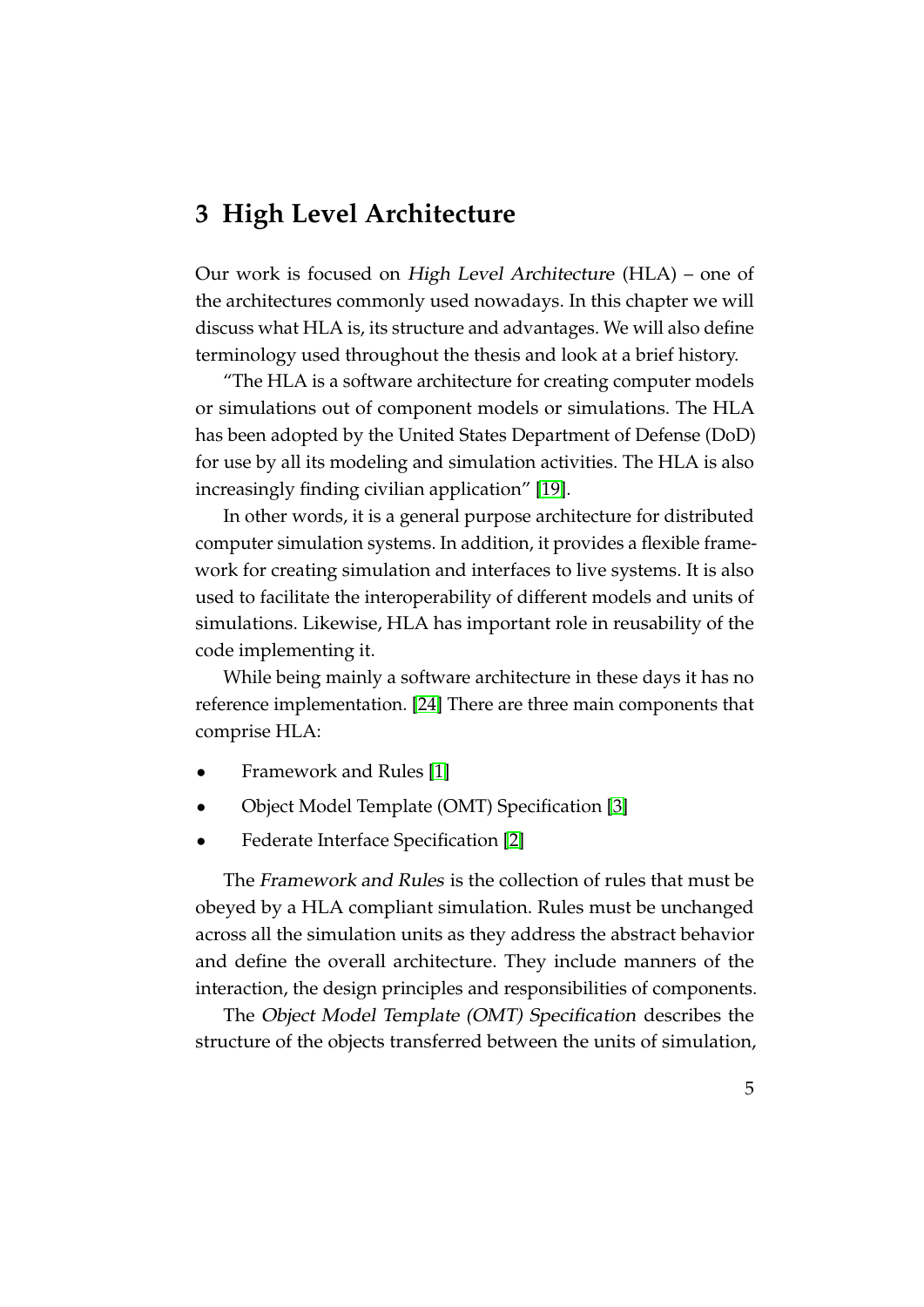## <span id="page-9-0"></span>**3 High Level Architecture**

Our work is focused on High Level Architecture (HLA) – one of the architectures commonly used nowadays. In this chapter we will discuss what HLA is, its structure and advantages. We will also define terminology used throughout the thesis and look at a brief history.

"The HLA is a software architecture for creating computer models or simulations out of component models or simulations. The HLA has been adopted by the United States Department of Defense (DoD) for use by all its modeling and simulation activities. The HLA is also increasingly finding civilian application" [\[19\]](#page-34-3).

In other words, it is a general purpose architecture for distributed computer simulation systems. In addition, it provides a flexible framework for creating simulation and interfaces to live systems. It is also used to facilitate the interoperability of different models and units of simulations. Likewise, HLA has important role in reusability of the code implementing it.

While being mainly a software architecture in these days it has no reference implementation. [\[24\]](#page-35-0) There are three main components that comprise HLA:

- Framework and Rules [\[1\]](#page-33-1)
- Object Model Template (OMT) Specification [\[3\]](#page-33-2)
- Federate Interface Specification [\[2\]](#page-33-3)

The Framework and Rules is the collection of rules that must be obeyed by a HLA compliant simulation. Rules must be unchanged across all the simulation units as they address the abstract behavior and define the overall architecture. They include manners of the interaction, the design principles and responsibilities of components.

The Object Model Template (OMT) Specification describes the structure of the objects transferred between the units of simulation,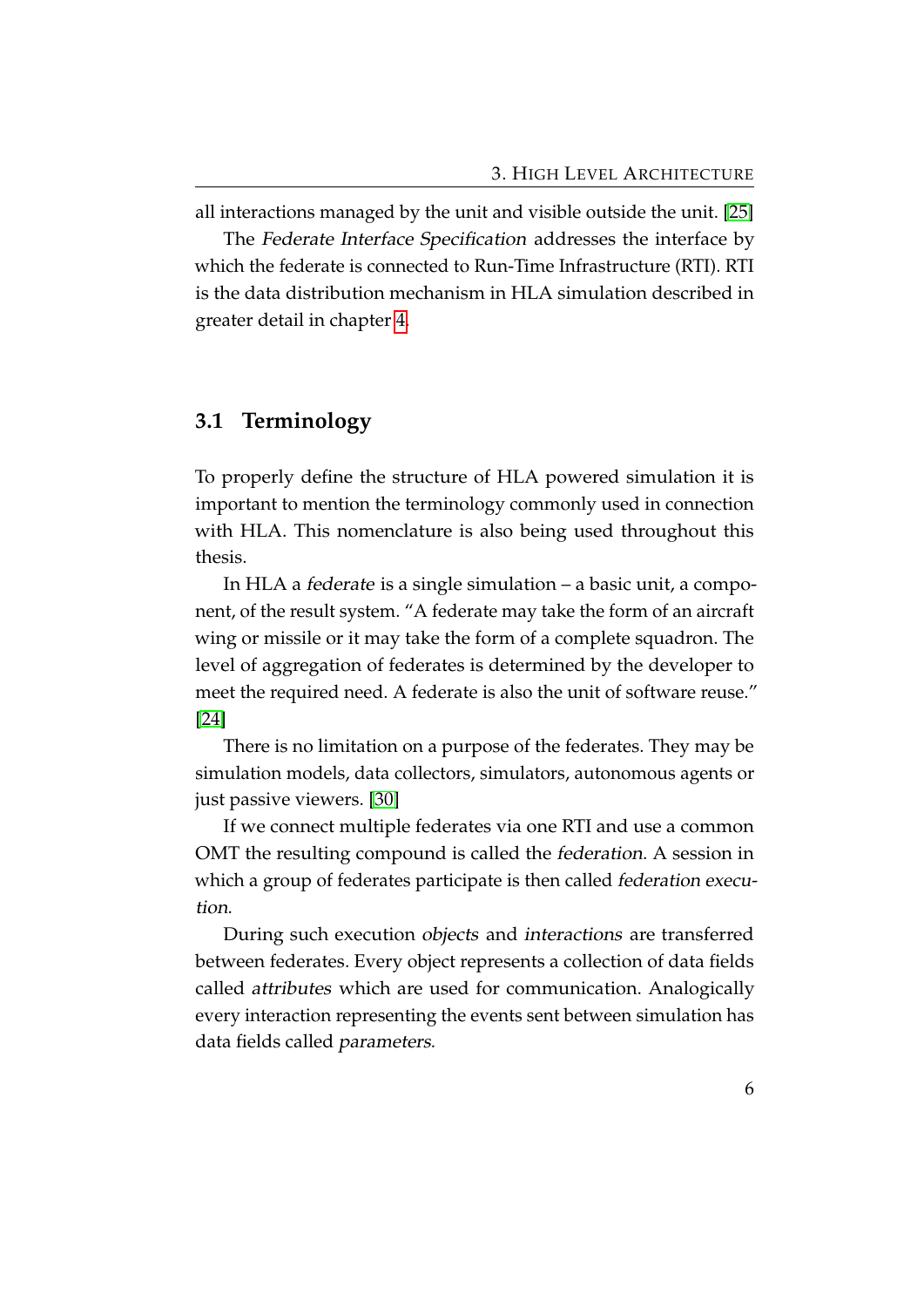all interactions managed by the unit and visible outside the unit. [\[25\]](#page-35-2)

The Federate Interface Specification addresses the interface by which the federate is connected to Run-Time Infrastructure (RTI). RTI is the data distribution mechanism in HLA simulation described in greater detail in chapter [4.](#page-13-0)

#### <span id="page-10-0"></span>**3.1 Terminology**

To properly define the structure of HLA powered simulation it is important to mention the terminology commonly used in connection with HLA. This nomenclature is also being used throughout this thesis.

In HLA a federate is a single simulation – a basic unit, a component, of the result system. "A federate may take the form of an aircraft wing or missile or it may take the form of a complete squadron. The level of aggregation of federates is determined by the developer to meet the required need. A federate is also the unit of software reuse." [\[24\]](#page-35-0)

There is no limitation on a purpose of the federates. They may be simulation models, data collectors, simulators, autonomous agents or just passive viewers. [\[30\]](#page-36-2)

If we connect multiple federates via one RTI and use a common OMT the resulting compound is called the federation. A session in which a group of federates participate is then called *federation execu*tion.

During such execution objects and interactions are transferred between federates. Every object represents a collection of data fields called attributes which are used for communication. Analogically every interaction representing the events sent between simulation has data fields called parameters.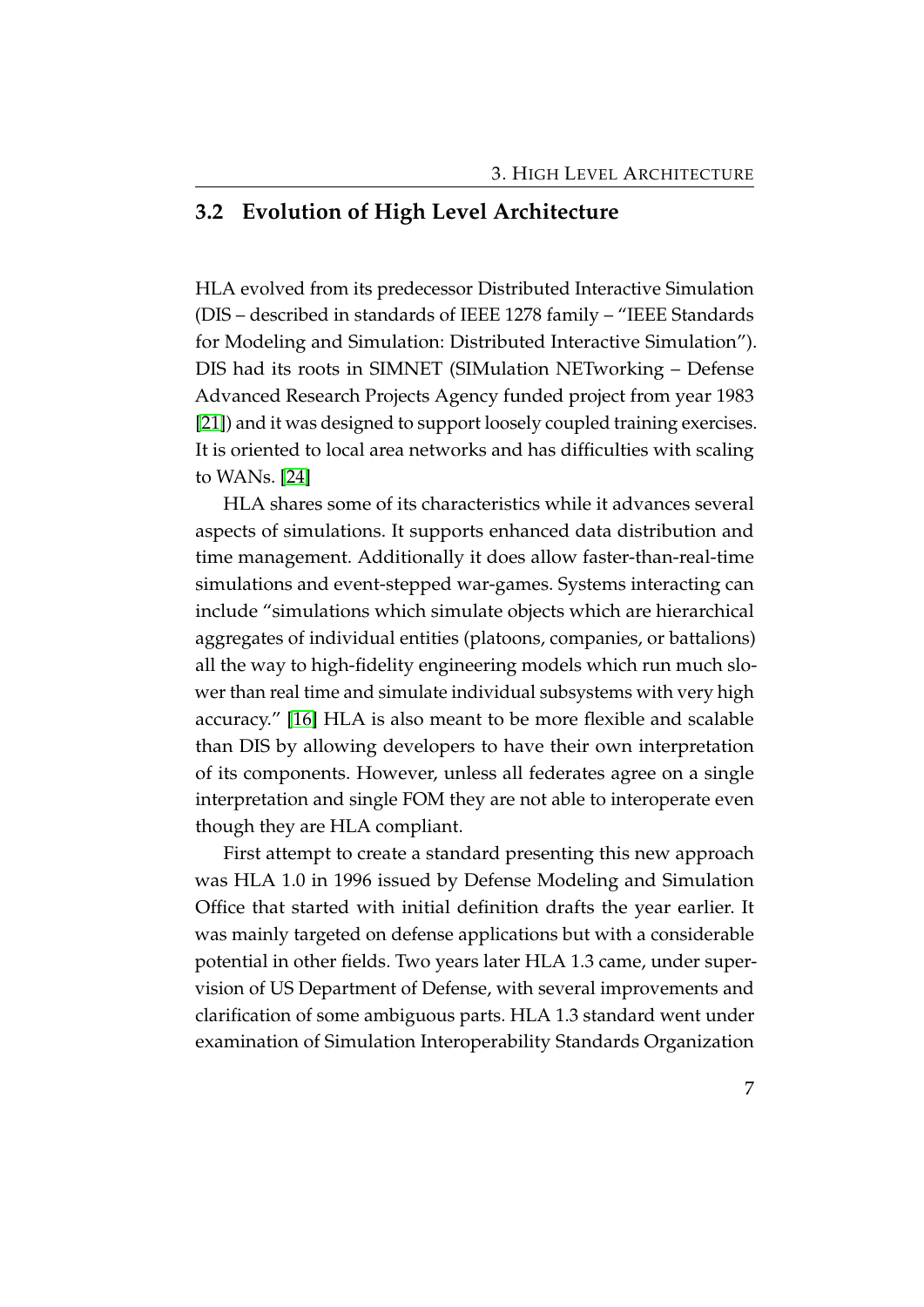#### <span id="page-11-0"></span>**3.2 Evolution of High Level Architecture**

HLA evolved from its predecessor Distributed Interactive Simulation (DIS – described in standards of IEEE 1278 family – "IEEE Standards for Modeling and Simulation: Distributed Interactive Simulation"). DIS had its roots in SIMNET (SIMulation NETworking – Defense Advanced Research Projects Agency funded project from year 1983 [\[21\]](#page-35-3)) and it was designed to support loosely coupled training exercises. It is oriented to local area networks and has difficulties with scaling to WANs. [\[24\]](#page-35-0)

HLA shares some of its characteristics while it advances several aspects of simulations. It supports enhanced data distribution and time management. Additionally it does allow faster-than-real-time simulations and event-stepped war-games. Systems interacting can include "simulations which simulate objects which are hierarchical aggregates of individual entities (platoons, companies, or battalions) all the way to high-fidelity engineering models which run much slower than real time and simulate individual subsystems with very high accuracy." [\[16\]](#page-34-4) HLA is also meant to be more flexible and scalable than DIS by allowing developers to have their own interpretation of its components. However, unless all federates agree on a single interpretation and single FOM they are not able to interoperate even though they are HLA compliant.

First attempt to create a standard presenting this new approach was HLA 1.0 in 1996 issued by Defense Modeling and Simulation Office that started with initial definition drafts the year earlier. It was mainly targeted on defense applications but with a considerable potential in other fields. Two years later HLA 1.3 came, under supervision of US Department of Defense, with several improvements and clarification of some ambiguous parts. HLA 1.3 standard went under examination of Simulation Interoperability Standards Organization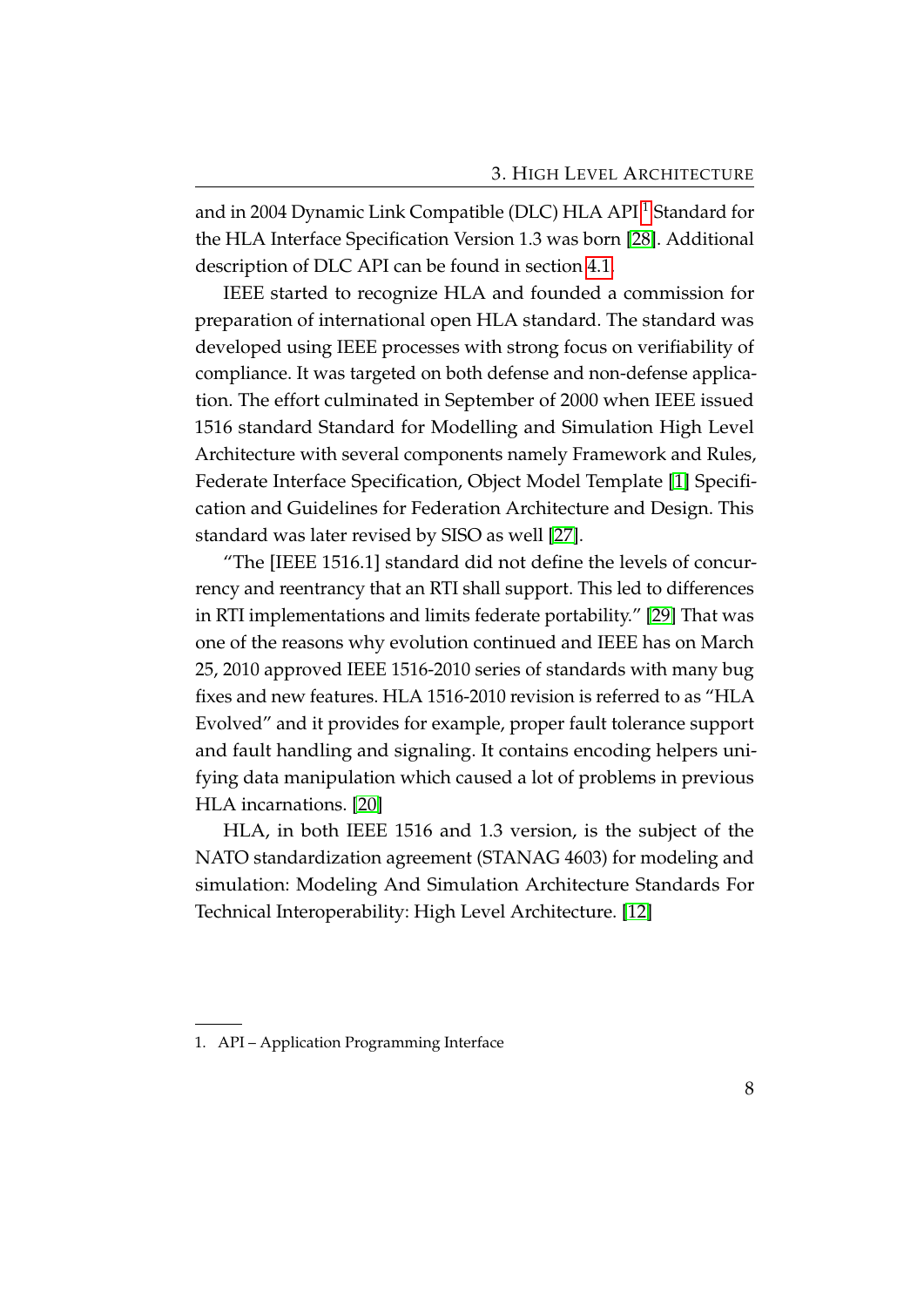and in 2004 Dynamic Link Compatible (DLC) HLA API [1](#page-12-0) Standard for the HLA Interface Specification Version 1.3 was born [\[28\]](#page-35-4). Additional description of DLC API can be found in section [4.1.](#page-15-0)

IEEE started to recognize HLA and founded a commission for preparation of international open HLA standard. The standard was developed using IEEE processes with strong focus on verifiability of compliance. It was targeted on both defense and non-defense application. The effort culminated in September of 2000 when IEEE issued 1516 standard Standard for Modelling and Simulation High Level Architecture with several components namely Framework and Rules, Federate Interface Specification, Object Model Template [\[1\]](#page-33-1) Specification and Guidelines for Federation Architecture and Design. This standard was later revised by SISO as well [\[27\]](#page-35-5).

"The [IEEE 1516.1] standard did not define the levels of concurrency and reentrancy that an RTI shall support. This led to differences in RTI implementations and limits federate portability." [\[29\]](#page-36-3) That was one of the reasons why evolution continued and IEEE has on March 25, 2010 approved IEEE 1516-2010 series of standards with many bug fixes and new features. HLA 1516-2010 revision is referred to as "HLA Evolved" and it provides for example, proper fault tolerance support and fault handling and signaling. It contains encoding helpers unifying data manipulation which caused a lot of problems in previous HLA incarnations. [\[20\]](#page-34-5)

HLA, in both IEEE 1516 and 1.3 version, is the subject of the NATO standardization agreement (STANAG 4603) for modeling and simulation: Modeling And Simulation Architecture Standards For Technical Interoperability: High Level Architecture. [\[12\]](#page-34-6)

<span id="page-12-0"></span><sup>1.</sup> API – Application Programming Interface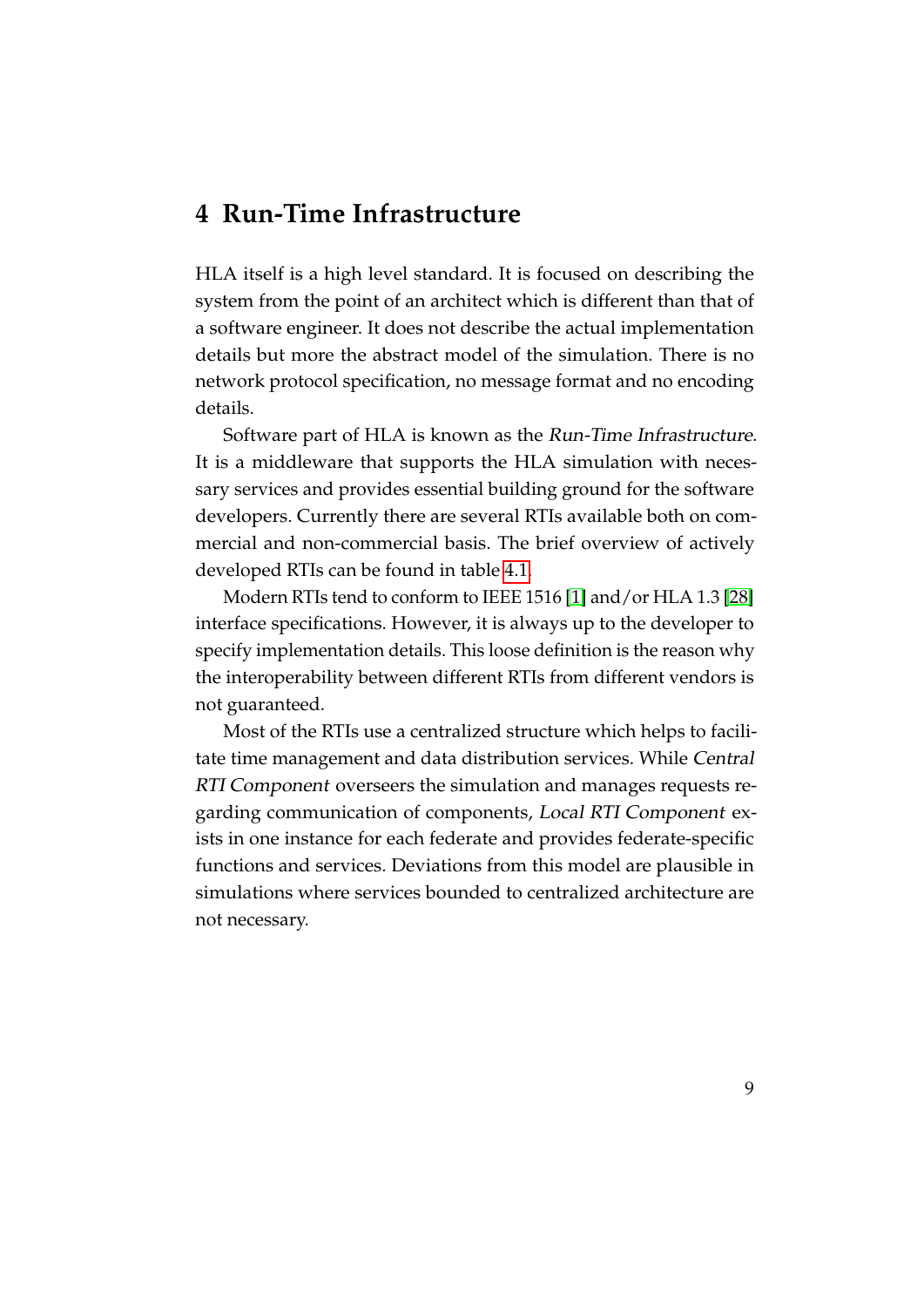### <span id="page-13-0"></span>**4 Run-Time Infrastructure**

HLA itself is a high level standard. It is focused on describing the system from the point of an architect which is different than that of a software engineer. It does not describe the actual implementation details but more the abstract model of the simulation. There is no network protocol specification, no message format and no encoding details.

Software part of HLA is known as the Run-Time Infrastructure. It is a middleware that supports the HLA simulation with necessary services and provides essential building ground for the software developers. Currently there are several RTIs available both on commercial and non-commercial basis. The brief overview of actively developed RTIs can be found in table [4.1.](#page-14-0)

Modern RTIs tend to conform to IEEE 1516 [\[1\]](#page-33-1) and/or HLA 1.3 [\[28\]](#page-35-4) interface specifications. However, it is always up to the developer to specify implementation details. This loose definition is the reason why the interoperability between different RTIs from different vendors is not guaranteed.

Most of the RTIs use a centralized structure which helps to facilitate time management and data distribution services. While Central RTI Component overseers the simulation and manages requests regarding communication of components, Local RTI Component exists in one instance for each federate and provides federate-specific functions and services. Deviations from this model are plausible in simulations where services bounded to centralized architecture are not necessary.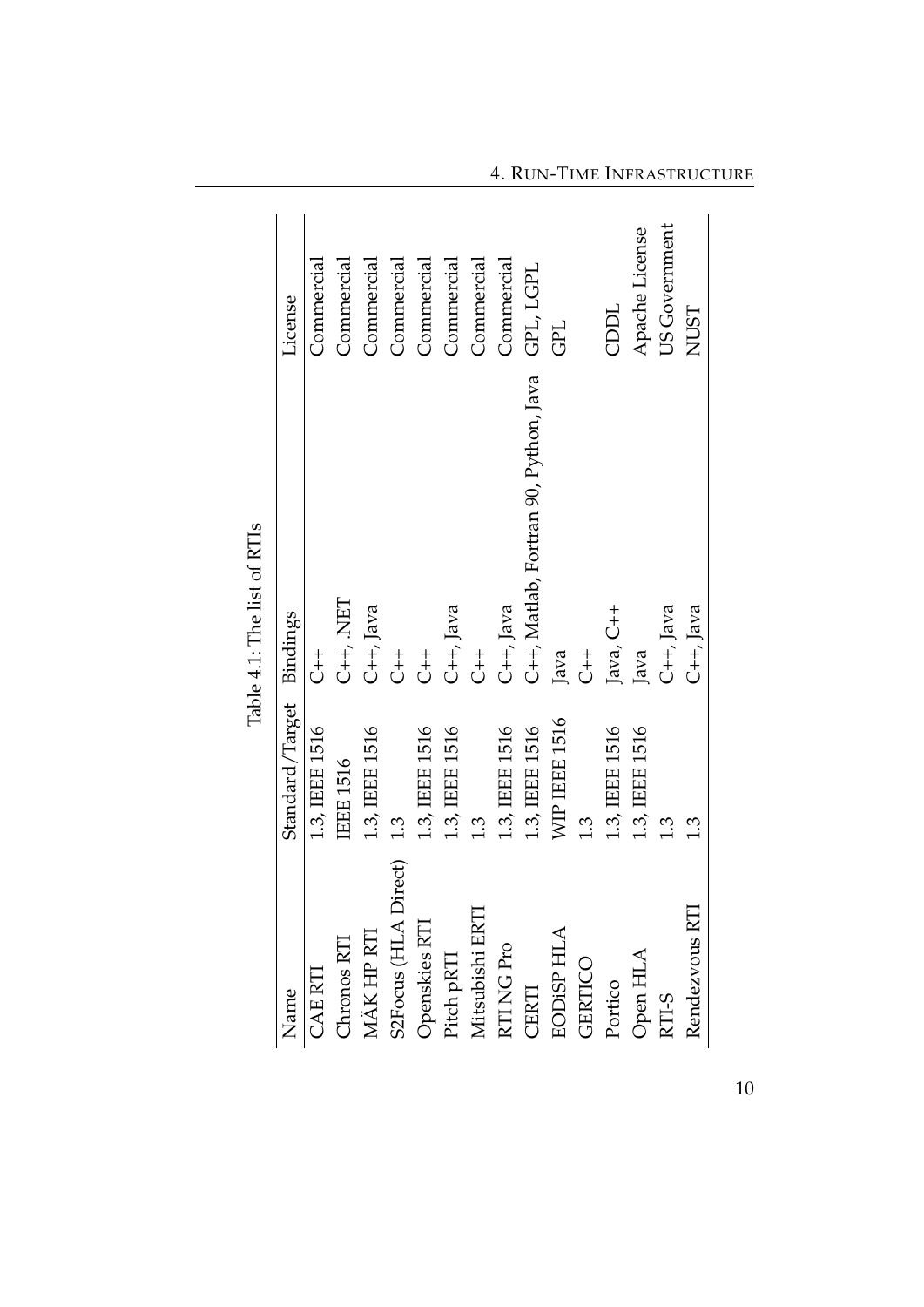$\overline{\mathbf{r}}$  $\frac{1}{2}$  $\vec{F}$  $\frac{1}{4}$ 

<span id="page-14-0"></span>4. RUN-TIME INFRASTRUCTURE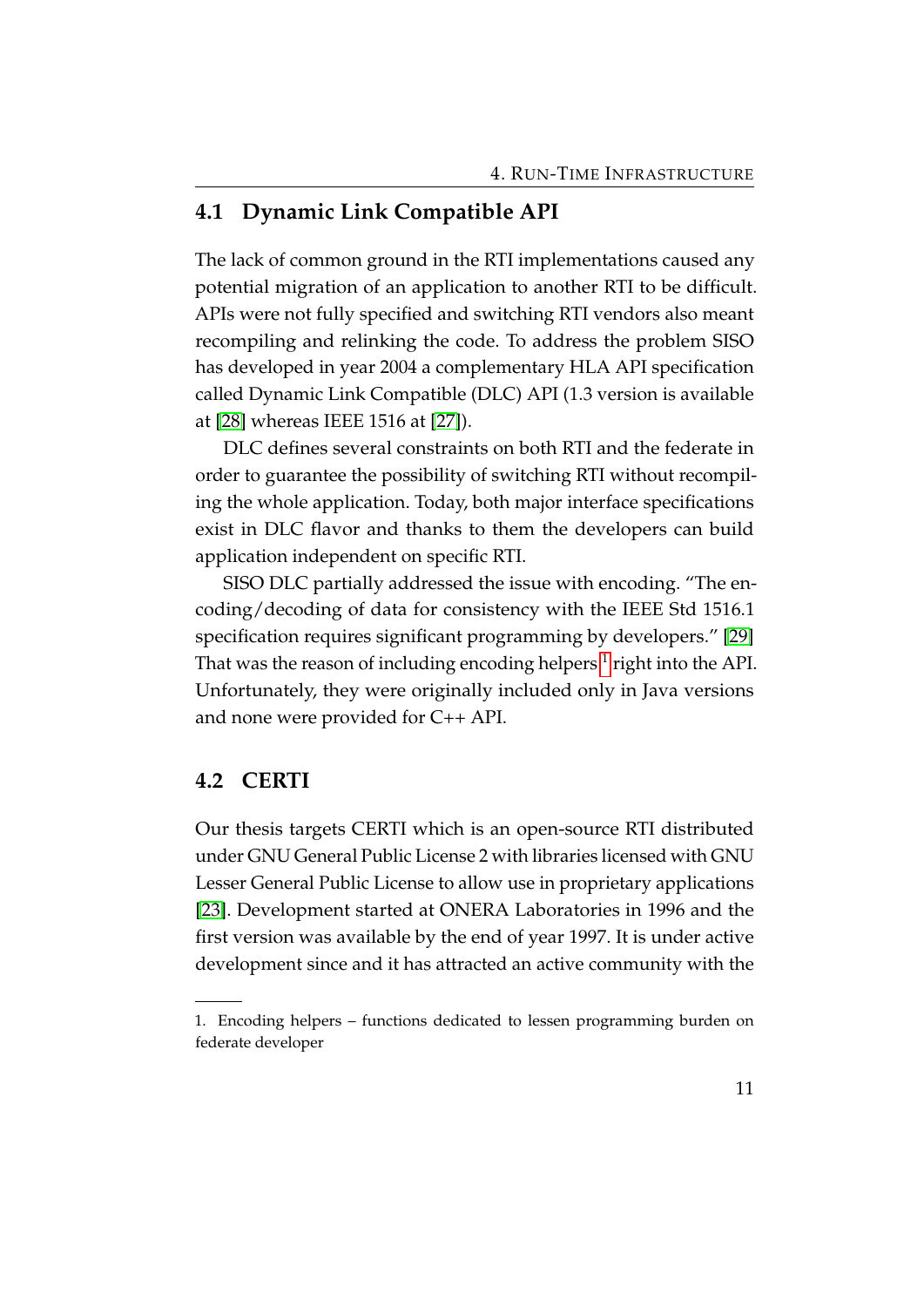#### <span id="page-15-0"></span>**4.1 Dynamic Link Compatible API**

The lack of common ground in the RTI implementations caused any potential migration of an application to another RTI to be difficult. APIs were not fully specified and switching RTI vendors also meant recompiling and relinking the code. To address the problem SISO has developed in year 2004 a complementary HLA API specification called Dynamic Link Compatible (DLC) API (1.3 version is available at [\[28\]](#page-35-4) whereas IEEE 1516 at [\[27\]](#page-35-5)).

DLC defines several constraints on both RTI and the federate in order to guarantee the possibility of switching RTI without recompiling the whole application. Today, both major interface specifications exist in DLC flavor and thanks to them the developers can build application independent on specific RTI.

SISO DLC partially addressed the issue with encoding. "The encoding/decoding of data for consistency with the IEEE Std 1516.1 specification requires significant programming by developers." [\[29\]](#page-36-3) That was the reason of including encoding helpers  $^1$  $^1$  right into the API. Unfortunately, they were originally included only in Java versions and none were provided for C++ API.

#### <span id="page-15-1"></span>**4.2 CERTI**

Our thesis targets CERTI which is an open-source RTI distributed under GNU General Public License 2 with libraries licensed with GNU Lesser General Public License to allow use in proprietary applications [\[23\]](#page-35-6). Development started at ONERA Laboratories in 1996 and the first version was available by the end of year 1997. It is under active development since and it has attracted an active community with the

<span id="page-15-2"></span><sup>1.</sup> Encoding helpers – functions dedicated to lessen programming burden on federate developer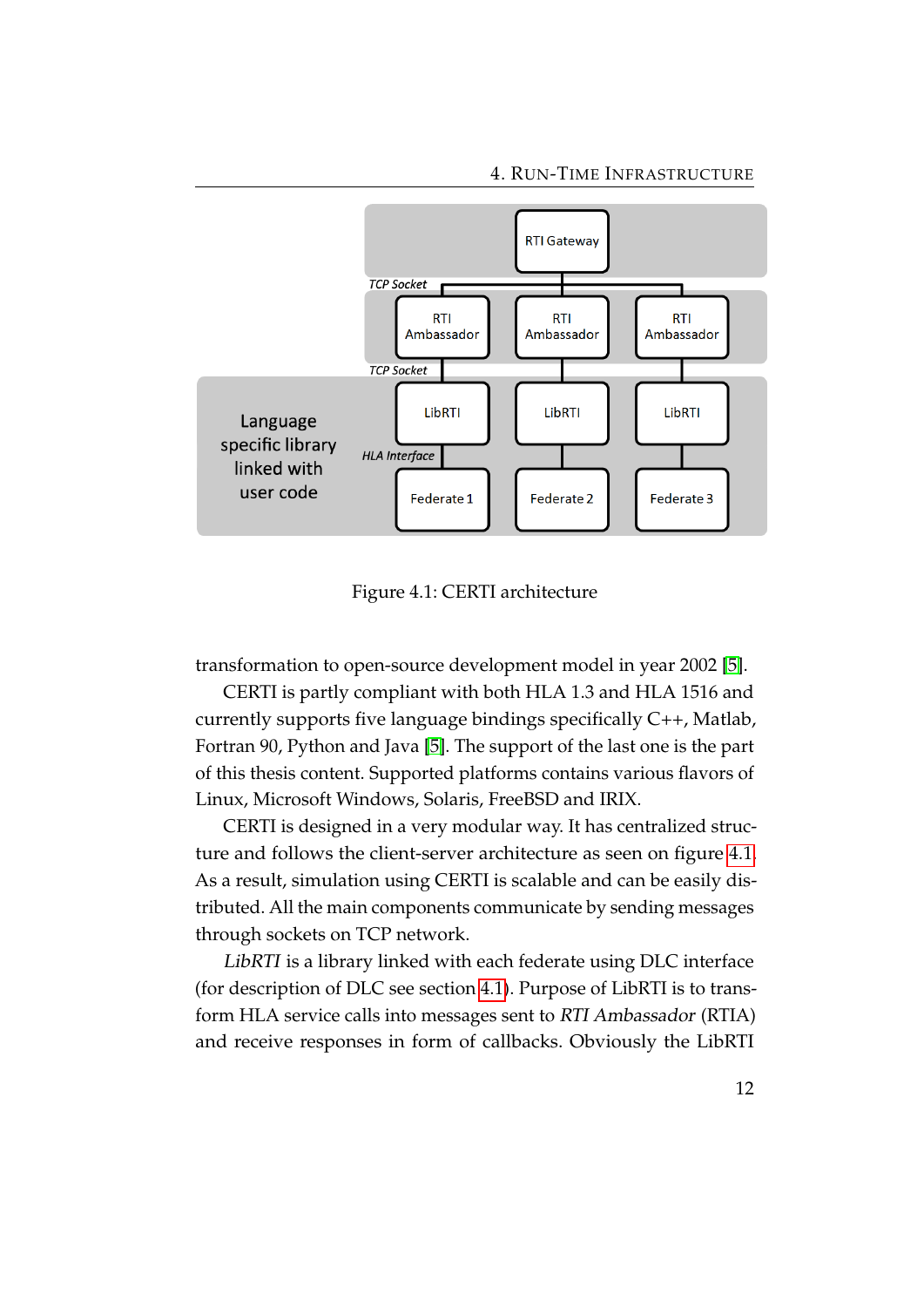

<span id="page-16-0"></span>Figure 4.1: CERTI architecture

transformation to open-source development model in year 2002 [\[5\]](#page-33-4).

CERTI is partly compliant with both HLA 1.3 and HLA 1516 and currently supports five language bindings specifically C++, Matlab, Fortran 90, Python and Java [\[5\]](#page-33-4). The support of the last one is the part of this thesis content. Supported platforms contains various flavors of Linux, Microsoft Windows, Solaris, FreeBSD and IRIX.

CERTI is designed in a very modular way. It has centralized structure and follows the client-server architecture as seen on figure [4.1.](#page-16-0) As a result, simulation using CERTI is scalable and can be easily distributed. All the main components communicate by sending messages through sockets on TCP network.

LibRTI is a library linked with each federate using DLC interface (for description of DLC see section [4.1\)](#page-15-0). Purpose of LibRTI is to transform HLA service calls into messages sent to RTI Ambassador (RTIA) and receive responses in form of callbacks. Obviously the LibRTI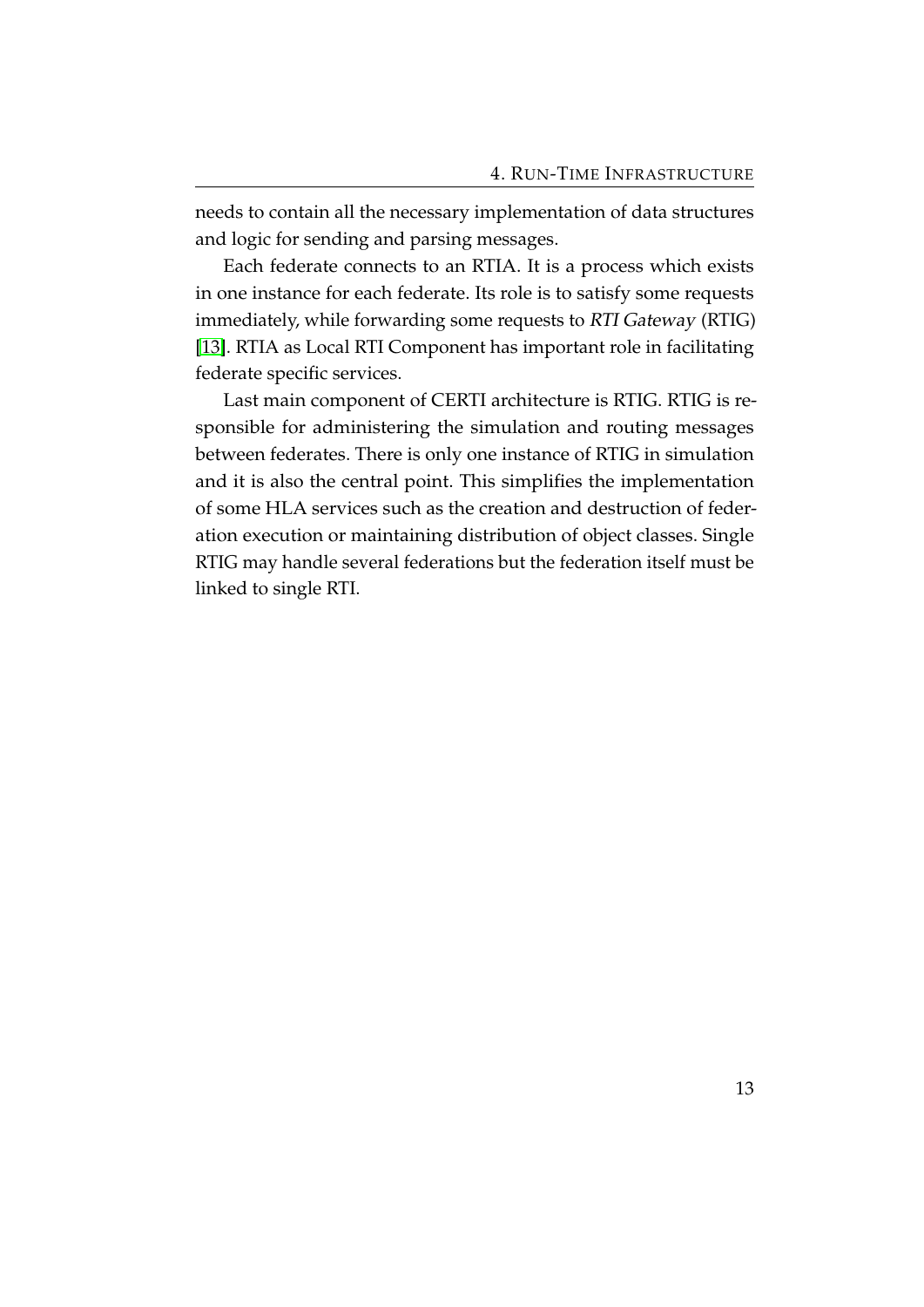needs to contain all the necessary implementation of data structures and logic for sending and parsing messages.

Each federate connects to an RTIA. It is a process which exists in one instance for each federate. Its role is to satisfy some requests immediately, while forwarding some requests to RTI Gateway (RTIG) [\[13\]](#page-34-7). RTIA as Local RTI Component has important role in facilitating federate specific services.

Last main component of CERTI architecture is RTIG. RTIG is responsible for administering the simulation and routing messages between federates. There is only one instance of RTIG in simulation and it is also the central point. This simplifies the implementation of some HLA services such as the creation and destruction of federation execution or maintaining distribution of object classes. Single RTIG may handle several federations but the federation itself must be linked to single RTI.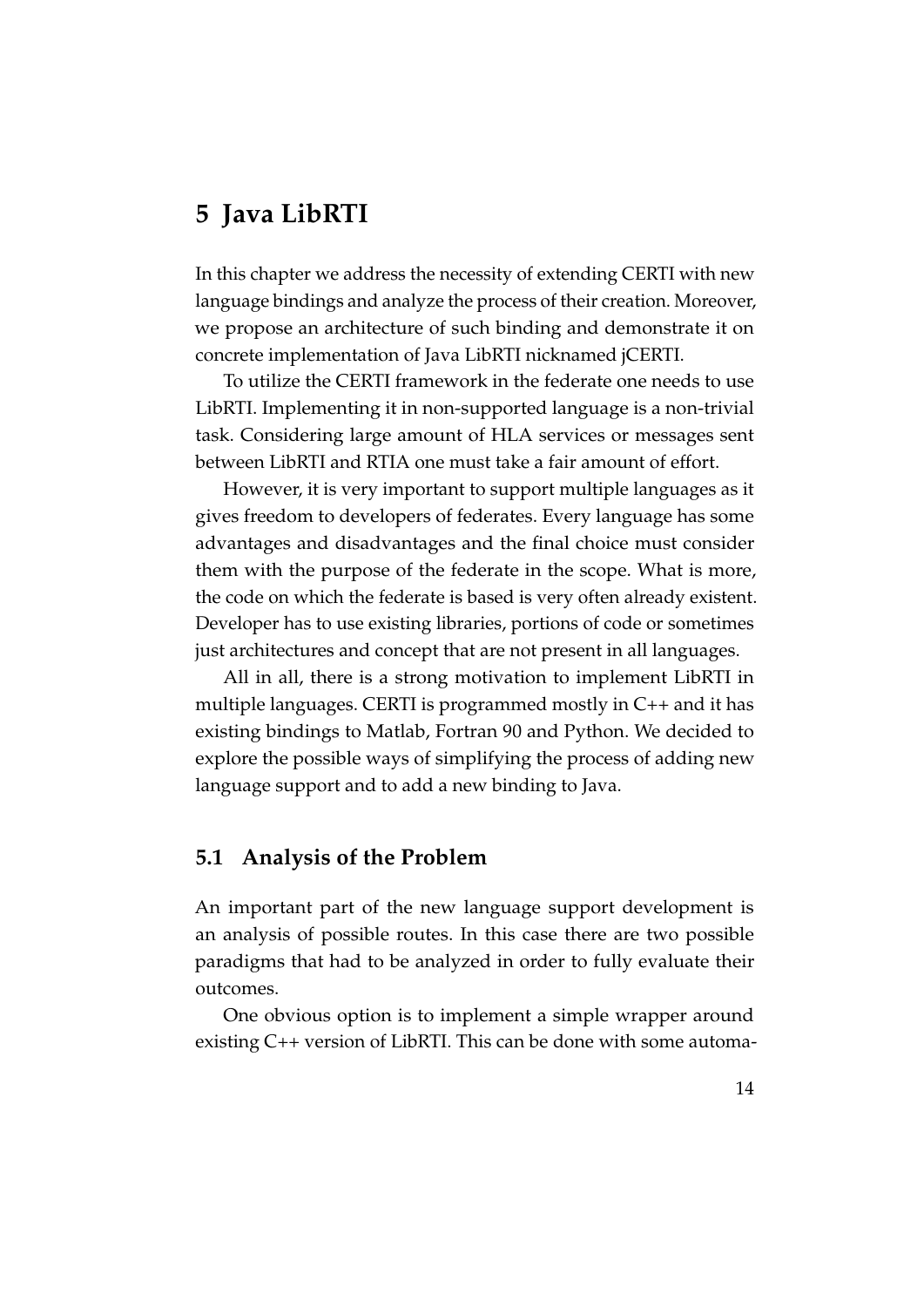# <span id="page-18-0"></span>**5 Java LibRTI**

In this chapter we address the necessity of extending CERTI with new language bindings and analyze the process of their creation. Moreover, we propose an architecture of such binding and demonstrate it on concrete implementation of Java LibRTI nicknamed jCERTI.

To utilize the CERTI framework in the federate one needs to use LibRTI. Implementing it in non-supported language is a non-trivial task. Considering large amount of HLA services or messages sent between LibRTI and RTIA one must take a fair amount of effort.

However, it is very important to support multiple languages as it gives freedom to developers of federates. Every language has some advantages and disadvantages and the final choice must consider them with the purpose of the federate in the scope. What is more, the code on which the federate is based is very often already existent. Developer has to use existing libraries, portions of code or sometimes just architectures and concept that are not present in all languages.

All in all, there is a strong motivation to implement LibRTI in multiple languages. CERTI is programmed mostly in C++ and it has existing bindings to Matlab, Fortran 90 and Python. We decided to explore the possible ways of simplifying the process of adding new language support and to add a new binding to Java.

#### <span id="page-18-1"></span>**5.1 Analysis of the Problem**

An important part of the new language support development is an analysis of possible routes. In this case there are two possible paradigms that had to be analyzed in order to fully evaluate their outcomes.

One obvious option is to implement a simple wrapper around existing C++ version of LibRTI. This can be done with some automa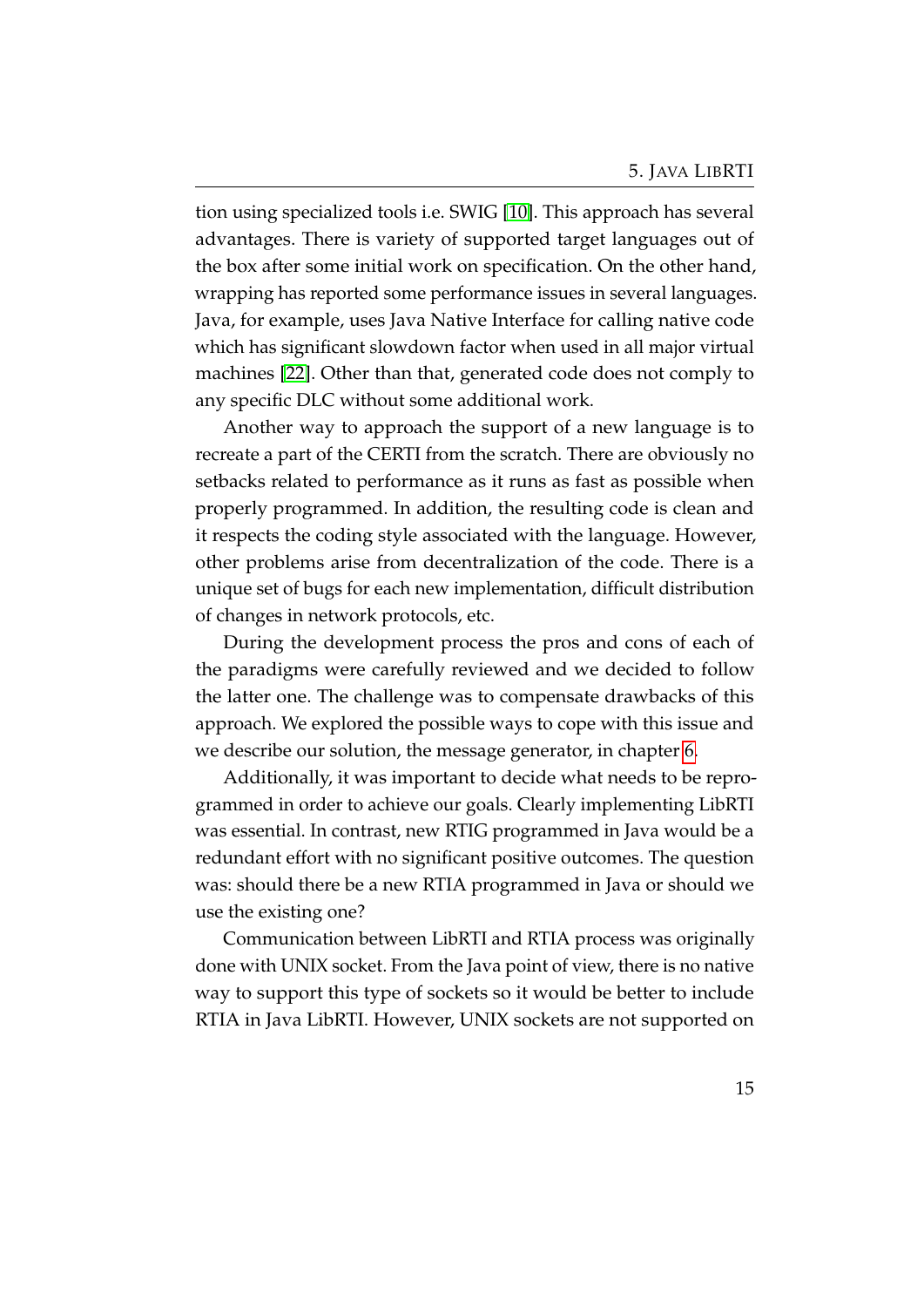tion using specialized tools i.e. SWIG [\[10\]](#page-33-5). This approach has several advantages. There is variety of supported target languages out of the box after some initial work on specification. On the other hand, wrapping has reported some performance issues in several languages. Java, for example, uses Java Native Interface for calling native code which has significant slowdown factor when used in all major virtual machines [\[22\]](#page-35-7). Other than that, generated code does not comply to any specific DLC without some additional work.

Another way to approach the support of a new language is to recreate a part of the CERTI from the scratch. There are obviously no setbacks related to performance as it runs as fast as possible when properly programmed. In addition, the resulting code is clean and it respects the coding style associated with the language. However, other problems arise from decentralization of the code. There is a unique set of bugs for each new implementation, difficult distribution of changes in network protocols, etc.

During the development process the pros and cons of each of the paradigms were carefully reviewed and we decided to follow the latter one. The challenge was to compensate drawbacks of this approach. We explored the possible ways to cope with this issue and we describe our solution, the message generator, in chapter [6.](#page-26-0)

Additionally, it was important to decide what needs to be reprogrammed in order to achieve our goals. Clearly implementing LibRTI was essential. In contrast, new RTIG programmed in Java would be a redundant effort with no significant positive outcomes. The question was: should there be a new RTIA programmed in Java or should we use the existing one?

Communication between LibRTI and RTIA process was originally done with UNIX socket. From the Java point of view, there is no native way to support this type of sockets so it would be better to include RTIA in Java LibRTI. However, UNIX sockets are not supported on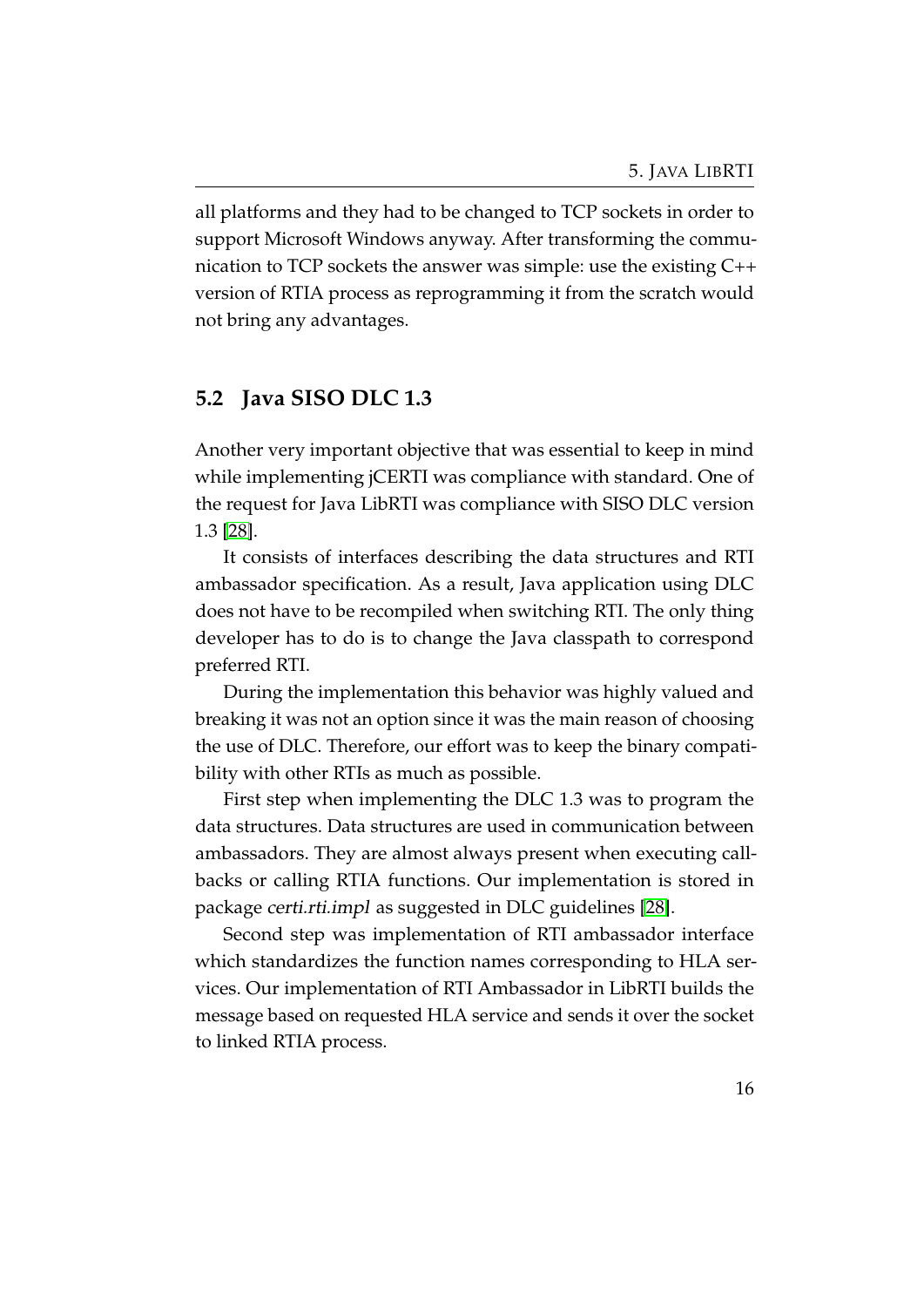all platforms and they had to be changed to TCP sockets in order to support Microsoft Windows anyway. After transforming the communication to TCP sockets the answer was simple: use the existing C++ version of RTIA process as reprogramming it from the scratch would not bring any advantages.

#### <span id="page-20-0"></span>**5.2 Java SISO DLC 1.3**

Another very important objective that was essential to keep in mind while implementing jCERTI was compliance with standard. One of the request for Java LibRTI was compliance with SISO DLC version 1.3 [\[28\]](#page-35-4).

It consists of interfaces describing the data structures and RTI ambassador specification. As a result, Java application using DLC does not have to be recompiled when switching RTI. The only thing developer has to do is to change the Java classpath to correspond preferred RTI.

During the implementation this behavior was highly valued and breaking it was not an option since it was the main reason of choosing the use of DLC. Therefore, our effort was to keep the binary compatibility with other RTIs as much as possible.

First step when implementing the DLC 1.3 was to program the data structures. Data structures are used in communication between ambassadors. They are almost always present when executing callbacks or calling RTIA functions. Our implementation is stored in package certi.rti.impl as suggested in DLC guidelines [\[28\]](#page-35-4).

Second step was implementation of RTI ambassador interface which standardizes the function names corresponding to HLA services. Our implementation of RTI Ambassador in LibRTI builds the message based on requested HLA service and sends it over the socket to linked RTIA process.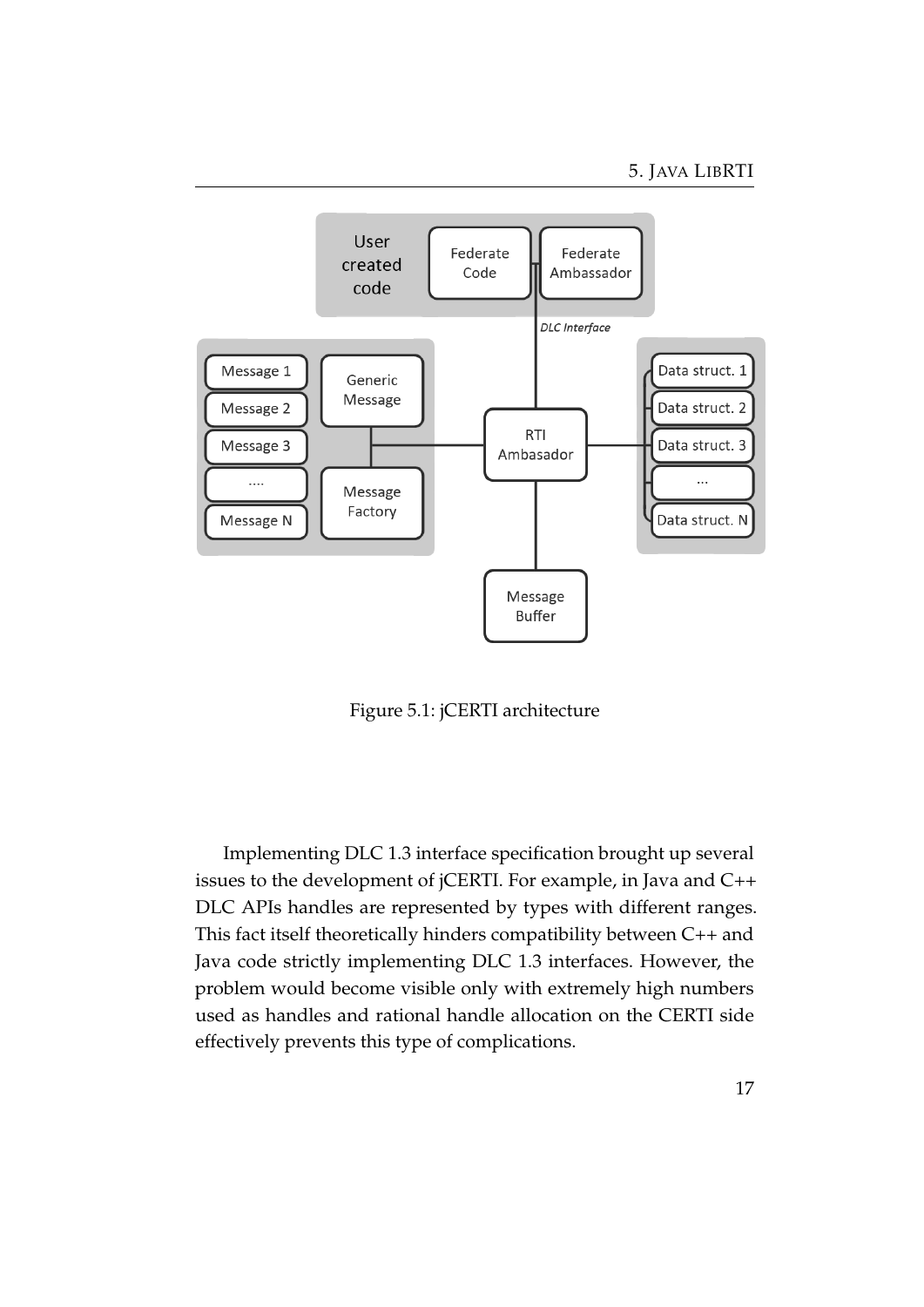

<span id="page-21-0"></span>Figure 5.1: jCERTI architecture

Implementing DLC 1.3 interface specification brought up several issues to the development of jCERTI. For example, in Java and C++ DLC APIs handles are represented by types with different ranges. This fact itself theoretically hinders compatibility between C++ and Java code strictly implementing DLC 1.3 interfaces. However, the problem would become visible only with extremely high numbers used as handles and rational handle allocation on the CERTI side effectively prevents this type of complications.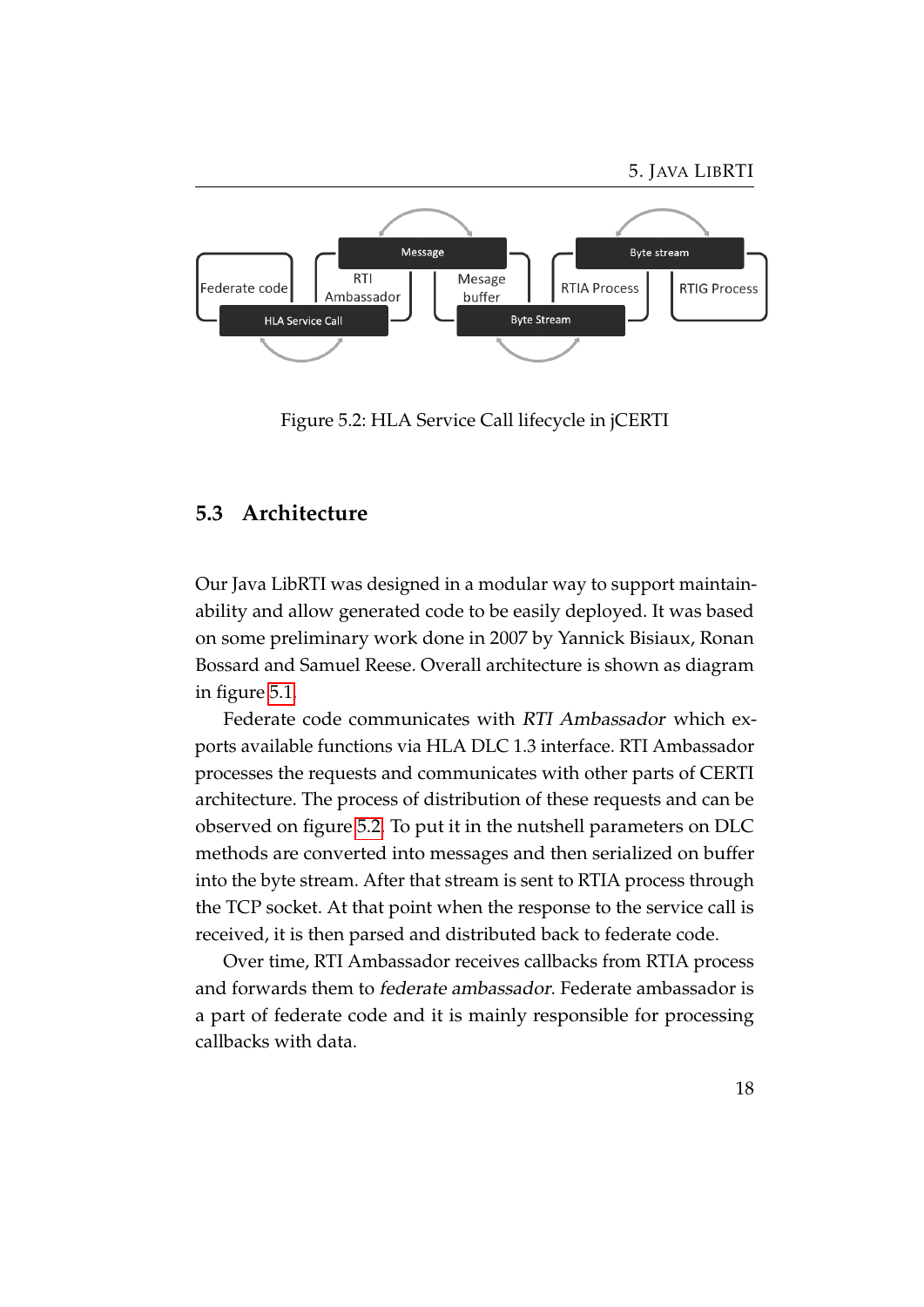

<span id="page-22-1"></span>Figure 5.2: HLA Service Call lifecycle in jCERTI

#### <span id="page-22-0"></span>**5.3 Architecture**

Our Java LibRTI was designed in a modular way to support maintainability and allow generated code to be easily deployed. It was based on some preliminary work done in 2007 by Yannick Bisiaux, Ronan Bossard and Samuel Reese. Overall architecture is shown as diagram in figure [5.1.](#page-21-0)

Federate code communicates with RTI Ambassador which exports available functions via HLA DLC 1.3 interface. RTI Ambassador processes the requests and communicates with other parts of CERTI architecture. The process of distribution of these requests and can be observed on figure [5.2.](#page-22-1) To put it in the nutshell parameters on DLC methods are converted into messages and then serialized on buffer into the byte stream. After that stream is sent to RTIA process through the TCP socket. At that point when the response to the service call is received, it is then parsed and distributed back to federate code.

Over time, RTI Ambassador receives callbacks from RTIA process and forwards them to federate ambassador. Federate ambassador is a part of federate code and it is mainly responsible for processing callbacks with data.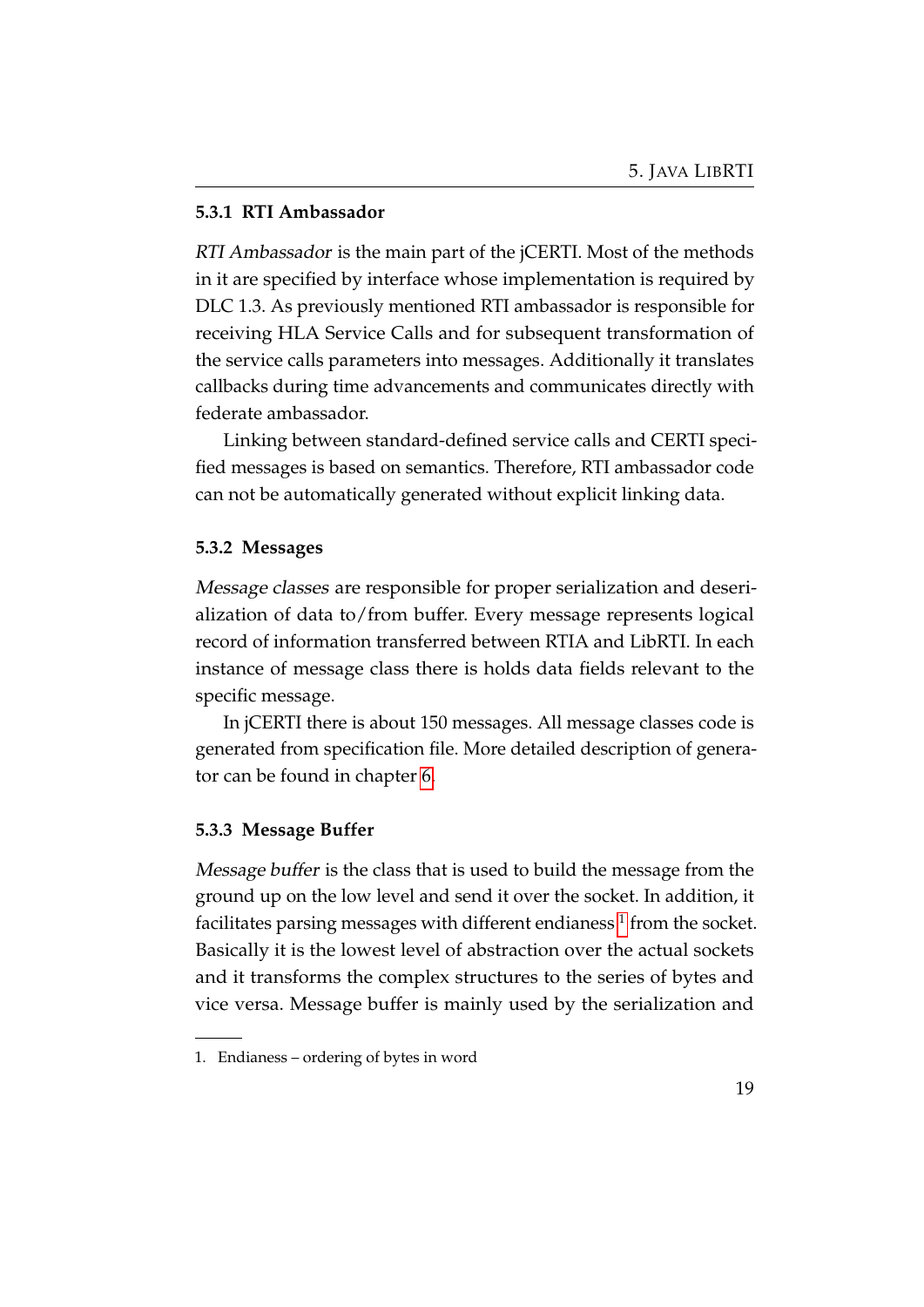#### <span id="page-23-0"></span>**5.3.1 RTI Ambassador**

RTI Ambassador is the main part of the jCERTI. Most of the methods in it are specified by interface whose implementation is required by DLC 1.3. As previously mentioned RTI ambassador is responsible for receiving HLA Service Calls and for subsequent transformation of the service calls parameters into messages. Additionally it translates callbacks during time advancements and communicates directly with federate ambassador.

Linking between standard-defined service calls and CERTI specified messages is based on semantics. Therefore, RTI ambassador code can not be automatically generated without explicit linking data.

#### <span id="page-23-1"></span>**5.3.2 Messages**

Message classes are responsible for proper serialization and deserialization of data to/from buffer. Every message represents logical record of information transferred between RTIA and LibRTI. In each instance of message class there is holds data fields relevant to the specific message.

In jCERTI there is about 150 messages. All message classes code is generated from specification file. More detailed description of generator can be found in chapter [6.](#page-26-0)

#### <span id="page-23-2"></span>**5.3.3 Message Buffer**

Message buffer is the class that is used to build the message from the ground up on the low level and send it over the socket. In addition, it facilitates parsing messages with different endianess  $^1$  $^1$  from the socket. Basically it is the lowest level of abstraction over the actual sockets and it transforms the complex structures to the series of bytes and vice versa. Message buffer is mainly used by the serialization and

<span id="page-23-3"></span><sup>1.</sup> Endianess – ordering of bytes in word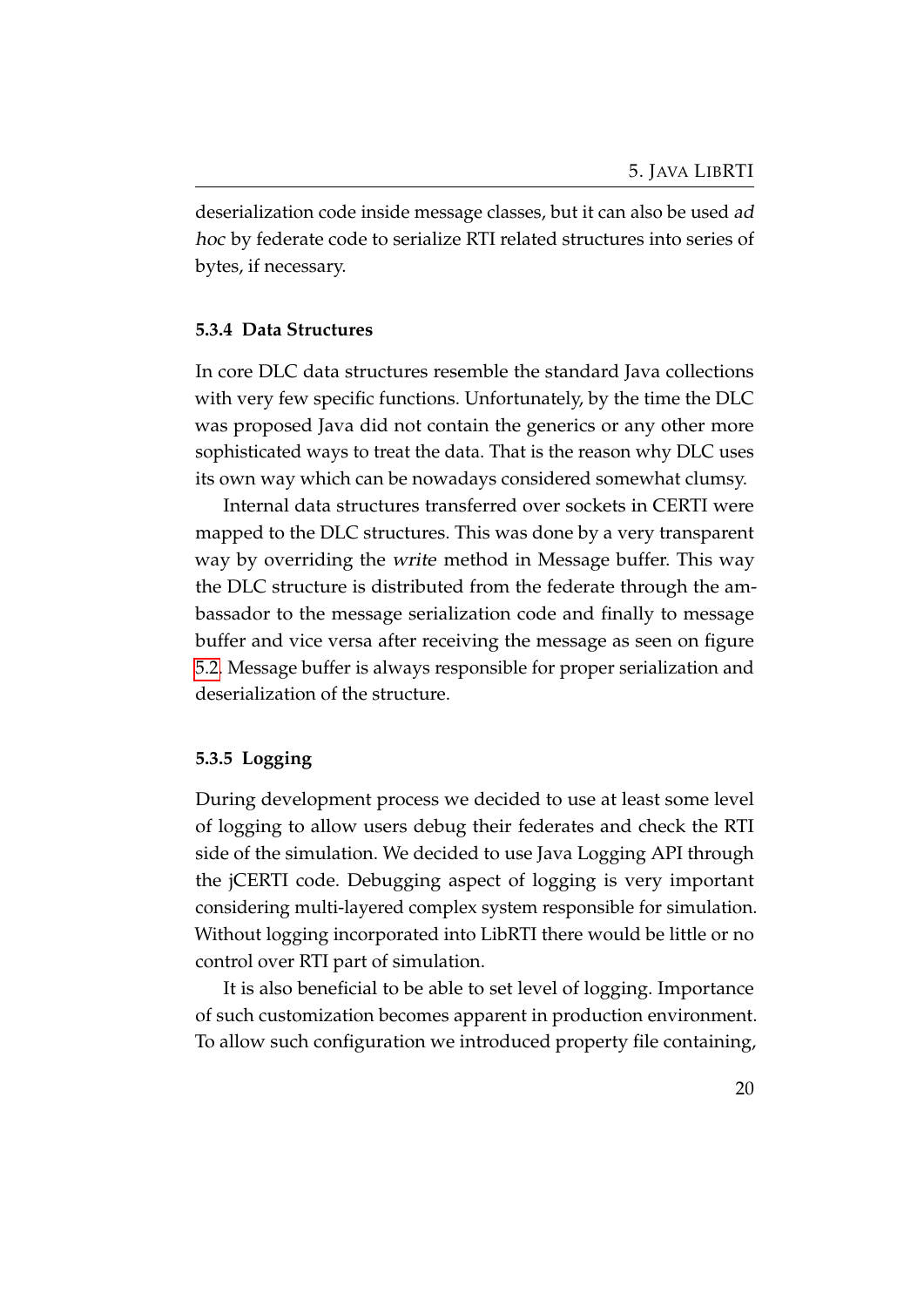deserialization code inside message classes, but it can also be used ad hoc by federate code to serialize RTI related structures into series of bytes, if necessary.

#### <span id="page-24-0"></span>**5.3.4 Data Structures**

In core DLC data structures resemble the standard Java collections with very few specific functions. Unfortunately, by the time the DLC was proposed Java did not contain the generics or any other more sophisticated ways to treat the data. That is the reason why DLC uses its own way which can be nowadays considered somewhat clumsy.

Internal data structures transferred over sockets in CERTI were mapped to the DLC structures. This was done by a very transparent way by overriding the write method in Message buffer. This way the DLC structure is distributed from the federate through the ambassador to the message serialization code and finally to message buffer and vice versa after receiving the message as seen on figure [5.2.](#page-22-1) Message buffer is always responsible for proper serialization and deserialization of the structure.

#### <span id="page-24-1"></span>**5.3.5 Logging**

During development process we decided to use at least some level of logging to allow users debug their federates and check the RTI side of the simulation. We decided to use Java Logging API through the jCERTI code. Debugging aspect of logging is very important considering multi-layered complex system responsible for simulation. Without logging incorporated into LibRTI there would be little or no control over RTI part of simulation.

It is also beneficial to be able to set level of logging. Importance of such customization becomes apparent in production environment. To allow such configuration we introduced property file containing,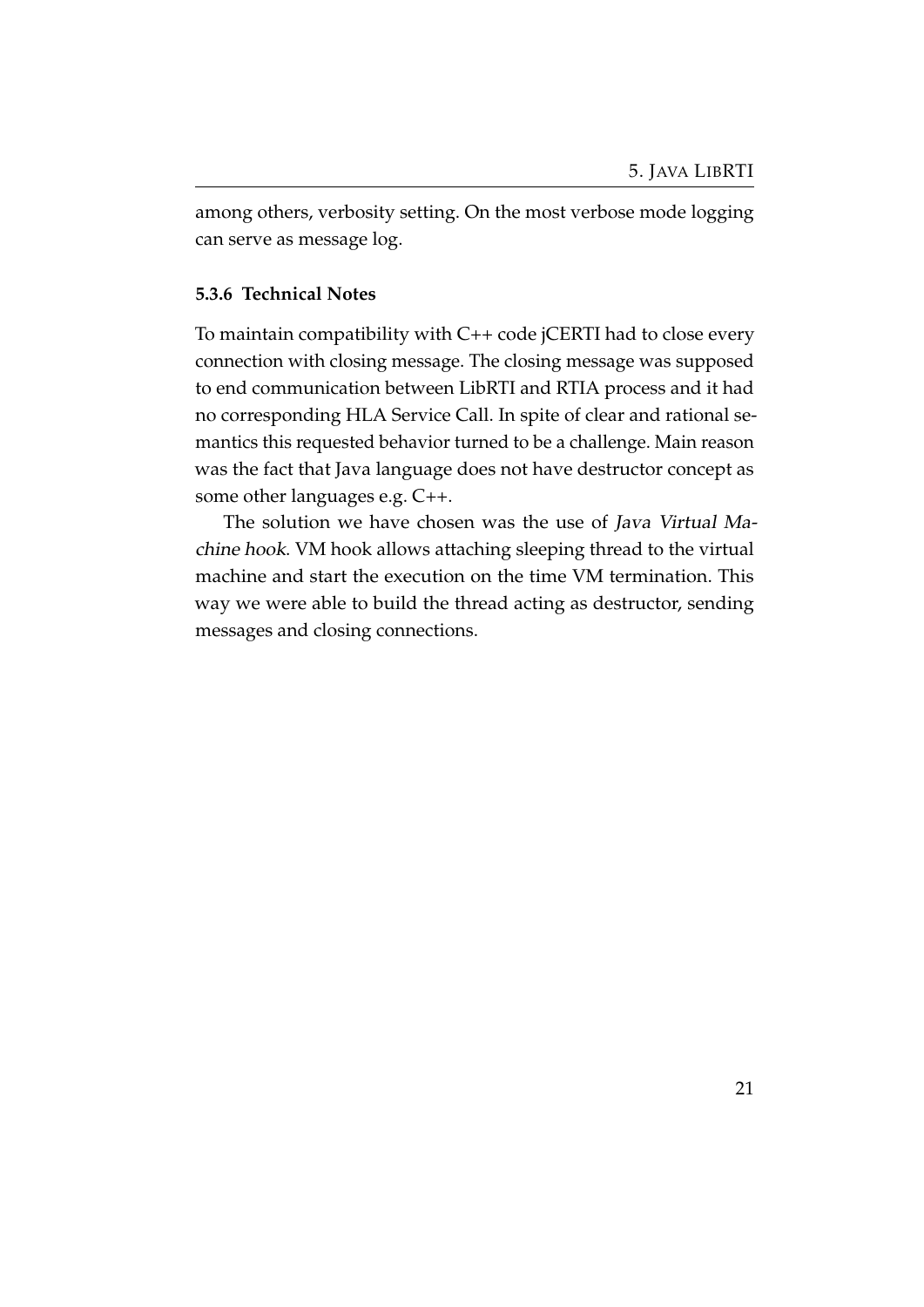among others, verbosity setting. On the most verbose mode logging can serve as message log.

#### <span id="page-25-0"></span>**5.3.6 Technical Notes**

To maintain compatibility with C++ code jCERTI had to close every connection with closing message. The closing message was supposed to end communication between LibRTI and RTIA process and it had no corresponding HLA Service Call. In spite of clear and rational semantics this requested behavior turned to be a challenge. Main reason was the fact that Java language does not have destructor concept as some other languages e.g. C++.

The solution we have chosen was the use of Java Virtual Machine hook. VM hook allows attaching sleeping thread to the virtual machine and start the execution on the time VM termination. This way we were able to build the thread acting as destructor, sending messages and closing connections.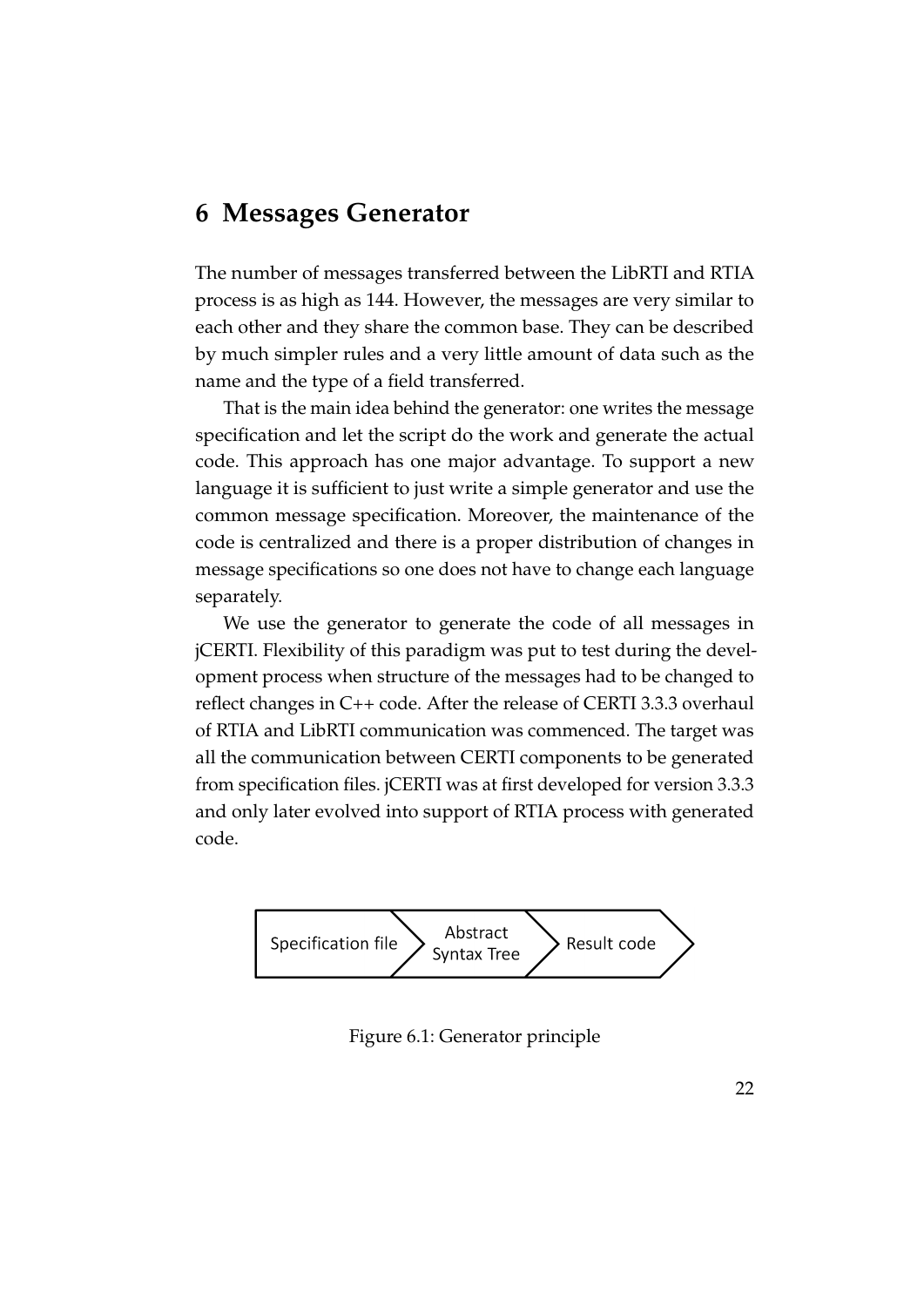### <span id="page-26-0"></span>**6 Messages Generator**

The number of messages transferred between the LibRTI and RTIA process is as high as 144. However, the messages are very similar to each other and they share the common base. They can be described by much simpler rules and a very little amount of data such as the name and the type of a field transferred.

That is the main idea behind the generator: one writes the message specification and let the script do the work and generate the actual code. This approach has one major advantage. To support a new language it is sufficient to just write a simple generator and use the common message specification. Moreover, the maintenance of the code is centralized and there is a proper distribution of changes in message specifications so one does not have to change each language separately.

We use the generator to generate the code of all messages in jCERTI. Flexibility of this paradigm was put to test during the development process when structure of the messages had to be changed to reflect changes in C++ code. After the release of CERTI 3.3.3 overhaul of RTIA and LibRTI communication was commenced. The target was all the communication between CERTI components to be generated from specification files. jCERTI was at first developed for version 3.3.3 and only later evolved into support of RTIA process with generated code.



<span id="page-26-1"></span>Figure 6.1: Generator principle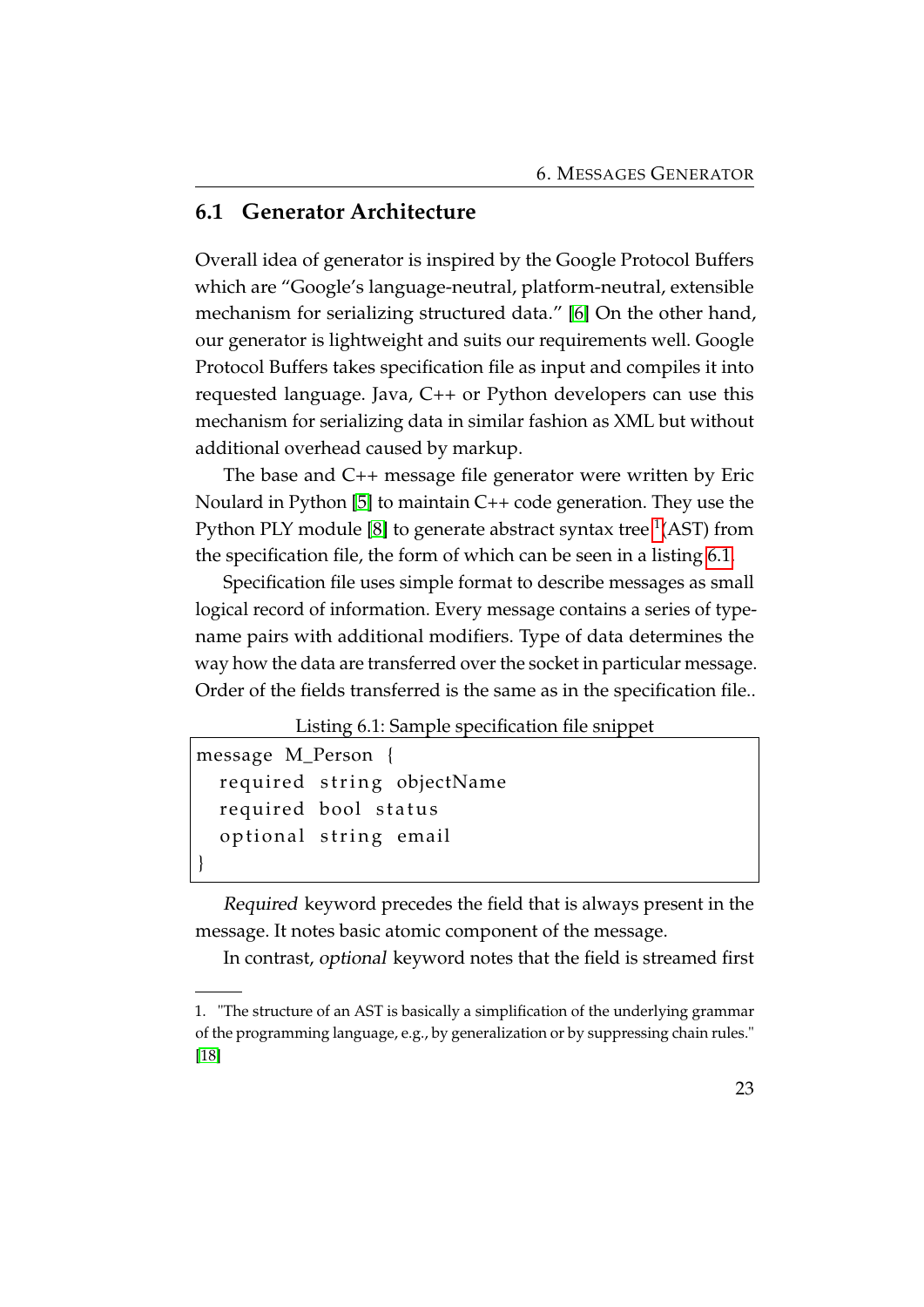#### <span id="page-27-0"></span>**6.1 Generator Architecture**

Overall idea of generator is inspired by the Google Protocol Buffers which are "Google's language-neutral, platform-neutral, extensible mechanism for serializing structured data." [\[6\]](#page-33-6) On the other hand, our generator is lightweight and suits our requirements well. Google Protocol Buffers takes specification file as input and compiles it into requested language. Java, C++ or Python developers can use this mechanism for serializing data in similar fashion as XML but without additional overhead caused by markup.

The base and C++ message file generator were written by Eric Noulard in Python [\[5\]](#page-33-4) to maintain C++ code generation. They use the Python PLY module [\[8\]](#page-33-7) to generate abstract syntax tree  $^1$  $^1$ (AST) from the specification file, the form of which can be seen in a listing [6.1.](#page-27-2)

Specification file uses simple format to describe messages as small logical record of information. Every message contains a series of typename pairs with additional modifiers. Type of data determines the way how the data are transferred over the socket in particular message. Order of the fields transferred is the same as in the specification file..

#### Listing 6.1: Sample specification file snippet

```
message M_Person {
  required string objectName
  required bool status
  optional string email
}
```
Required keyword precedes the field that is always present in the message. It notes basic atomic component of the message.

In contrast, optional keyword notes that the field is streamed first

<span id="page-27-1"></span><sup>1.</sup> "The structure of an AST is basically a simplification of the underlying grammar of the programming language, e.g., by generalization or by suppressing chain rules." [\[18\]](#page-34-8)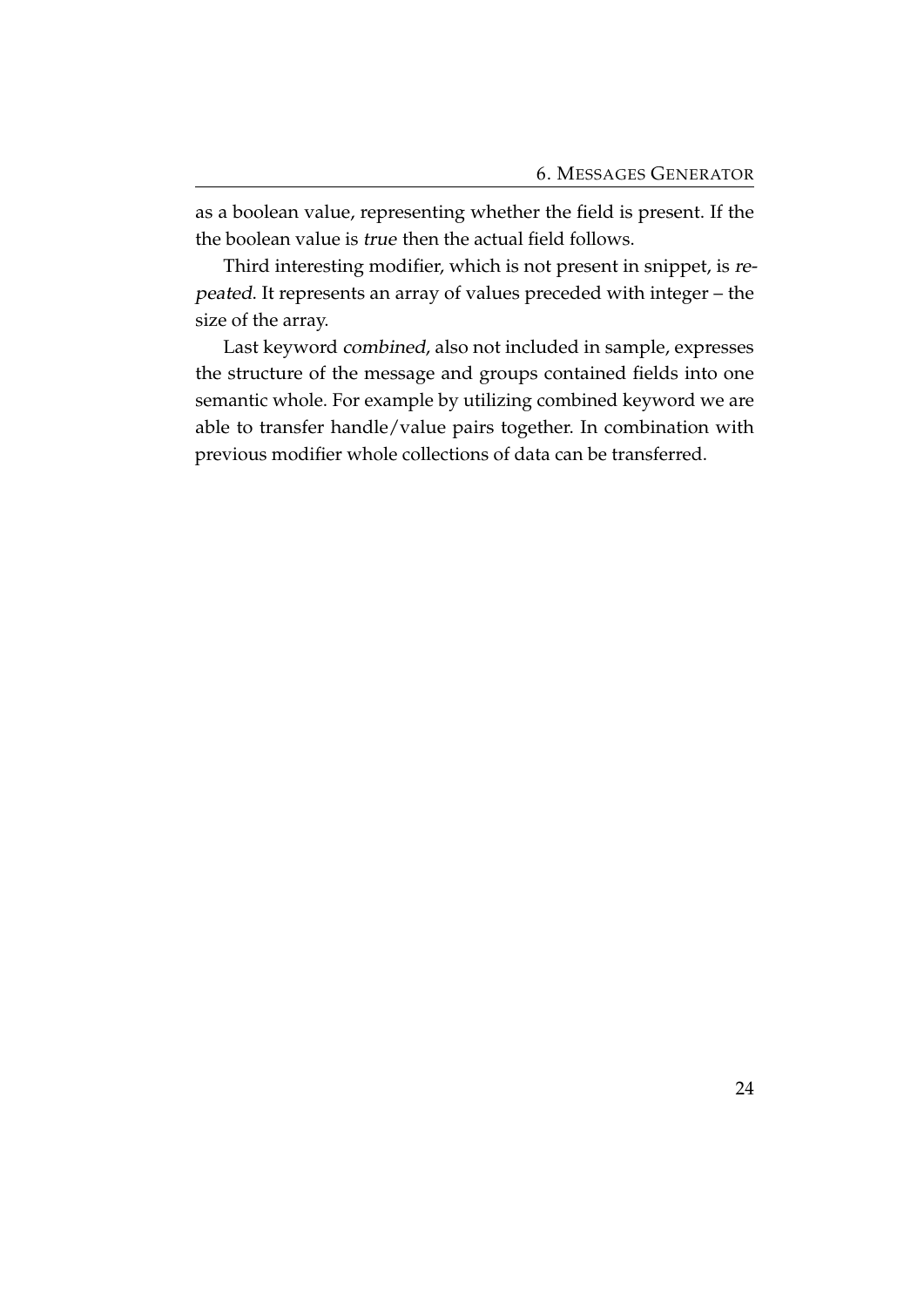as a boolean value, representing whether the field is present. If the the boolean value is true then the actual field follows.

Third interesting modifier, which is not present in snippet, is repeated. It represents an array of values preceded with integer – the size of the array.

Last keyword combined, also not included in sample, expresses the structure of the message and groups contained fields into one semantic whole. For example by utilizing combined keyword we are able to transfer handle/value pairs together. In combination with previous modifier whole collections of data can be transferred.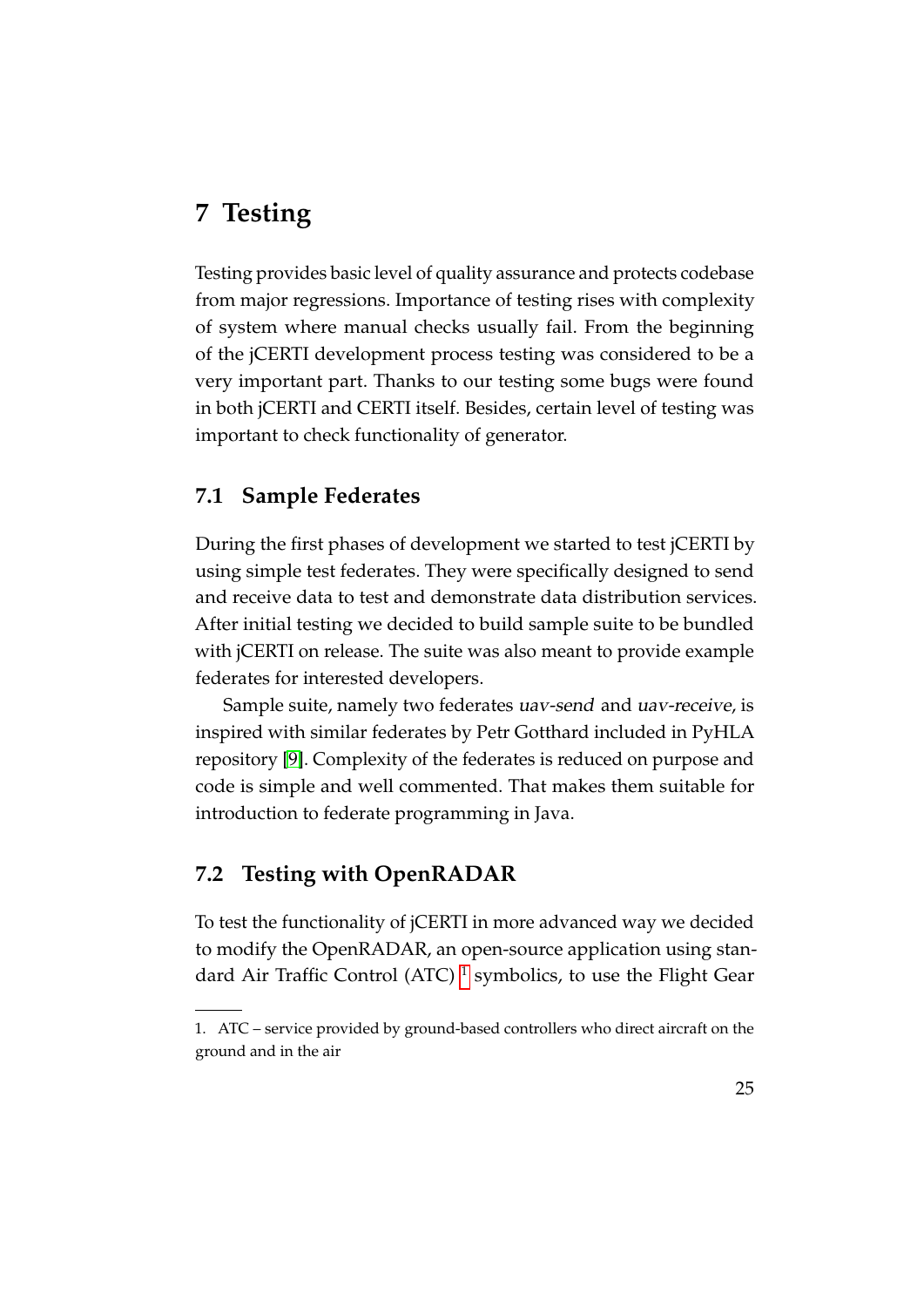# <span id="page-29-0"></span>**7 Testing**

Testing provides basic level of quality assurance and protects codebase from major regressions. Importance of testing rises with complexity of system where manual checks usually fail. From the beginning of the jCERTI development process testing was considered to be a very important part. Thanks to our testing some bugs were found in both jCERTI and CERTI itself. Besides, certain level of testing was important to check functionality of generator.

#### <span id="page-29-1"></span>**7.1 Sample Federates**

During the first phases of development we started to test jCERTI by using simple test federates. They were specifically designed to send and receive data to test and demonstrate data distribution services. After initial testing we decided to build sample suite to be bundled with jCERTI on release. The suite was also meant to provide example federates for interested developers.

Sample suite, namely two federates uav-send and uav-receive, is inspired with similar federates by Petr Gotthard included in PyHLA repository [\[9\]](#page-33-8). Complexity of the federates is reduced on purpose and code is simple and well commented. That makes them suitable for introduction to federate programming in Java.

#### <span id="page-29-2"></span>**7.2 Testing with OpenRADAR**

To test the functionality of jCERTI in more advanced way we decided to modify the OpenRADAR, an open-source application using stan-dard Air Traffic Control (ATC)<sup>[1](#page-29-3)</sup> symbolics, to use the Flight Gear

<span id="page-29-3"></span><sup>1.</sup> ATC – service provided by ground-based controllers who direct aircraft on the ground and in the air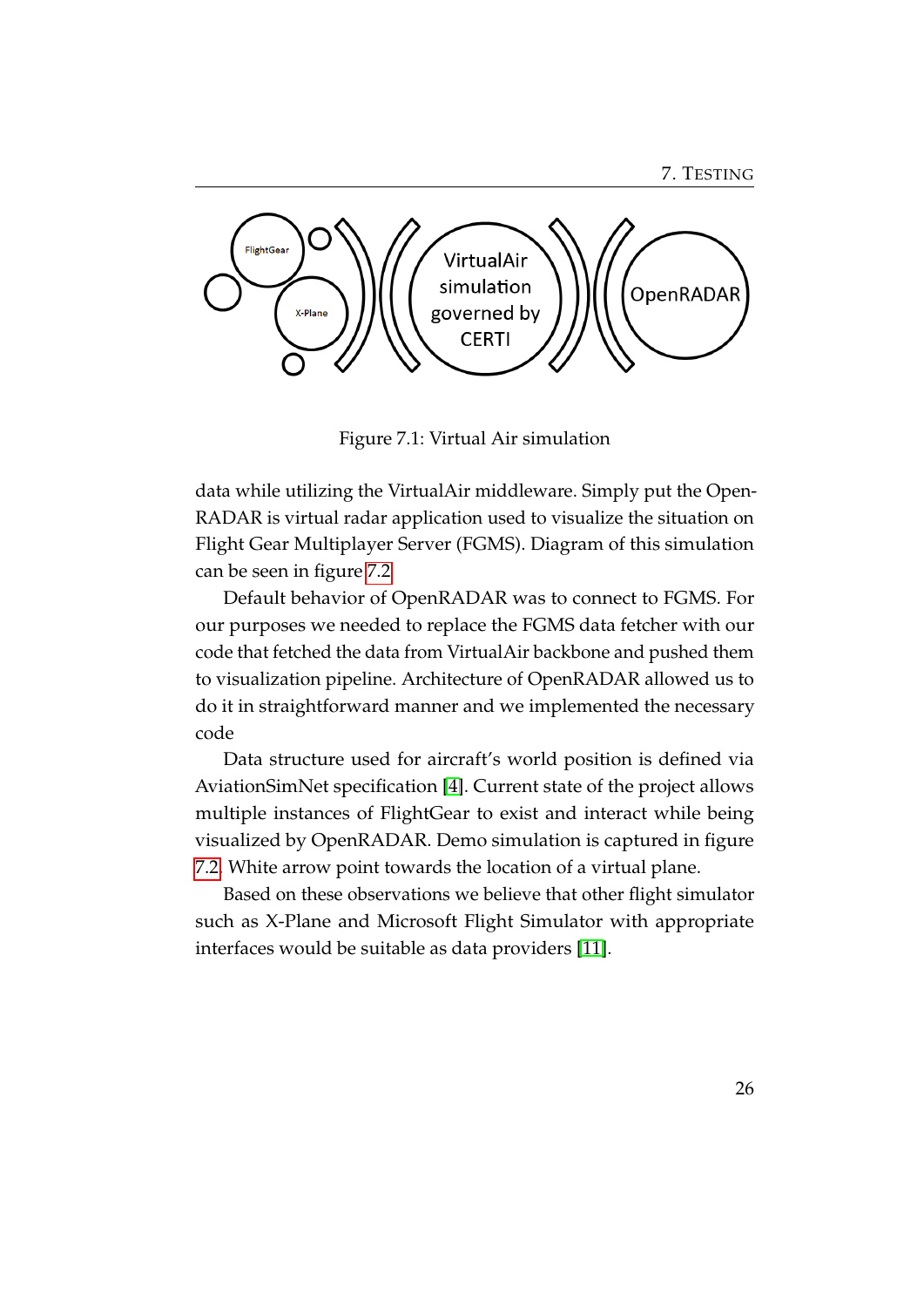7. TESTING



<span id="page-30-0"></span>Figure 7.1: Virtual Air simulation

data while utilizing the VirtualAir middleware. Simply put the Open-RADAR is virtual radar application used to visualize the situation on Flight Gear Multiplayer Server (FGMS). Diagram of this simulation can be seen in figure [7.2](#page-29-2)

Default behavior of OpenRADAR was to connect to FGMS. For our purposes we needed to replace the FGMS data fetcher with our code that fetched the data from VirtualAir backbone and pushed them to visualization pipeline. Architecture of OpenRADAR allowed us to do it in straightforward manner and we implemented the necessary code

Data structure used for aircraft's world position is defined via AviationSimNet specification [\[4\]](#page-33-9). Current state of the project allows multiple instances of FlightGear to exist and interact while being visualized by OpenRADAR. Demo simulation is captured in figure [7.2.](#page-31-0) White arrow point towards the location of a virtual plane.

Based on these observations we believe that other flight simulator such as X-Plane and Microsoft Flight Simulator with appropriate interfaces would be suitable as data providers [\[11\]](#page-33-10).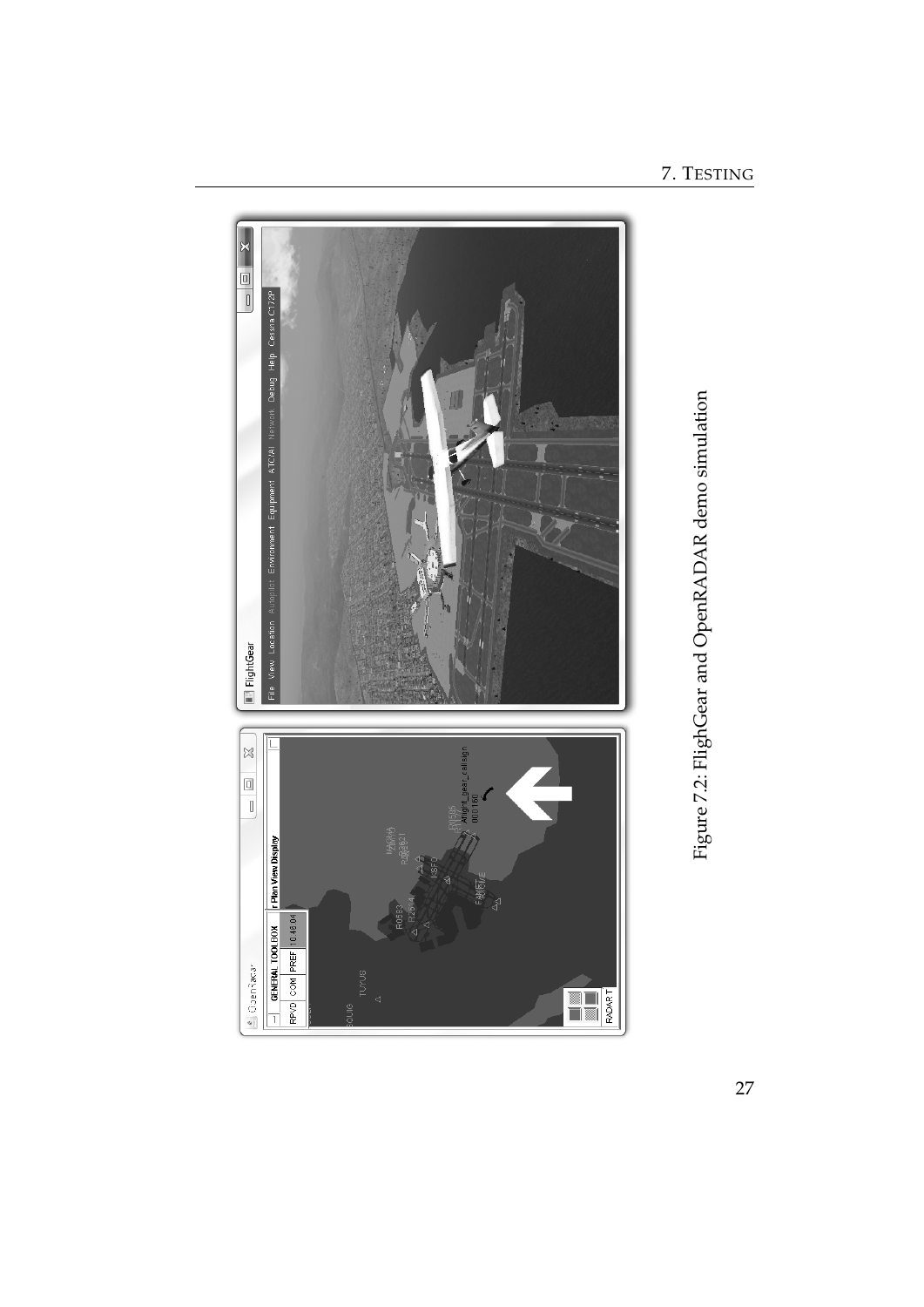Environment Equipment ATC/AI Network Debug Help Cessna C172P File View Location Au ElightGear  $\frac{1}{2}$  $\begin{array}{|c|c|} \hline \rule{0pt}{2ex} \rule{0pt}{2ex} \rule{0pt}{2ex} \rule{0pt}{2ex} \rule{0pt}{2ex} \rule{0pt}{2ex} \rule{0pt}{2ex} \rule{0pt}{2ex} \rule{0pt}{2ex} \rule{0pt}{2ex} \rule{0pt}{2ex} \rule{0pt}{2ex} \rule{0pt}{2ex} \rule{0pt}{2ex} \rule{0pt}{2ex} \rule{0pt}{2ex} \rule{0pt}{2ex} \rule{0pt}{2ex} \rule{0pt}{2ex} \rule{0pt}{2ex} \rule{0pt}{2ex} \rule{0pt}{2ex} \rule{0pt}{2ex$  $-$  GENERAL TOOLBOX  $\begin{bmatrix} \mathbf{r} \end{bmatrix}$  Plan View Display RPVD COM PREF 10:46:04 4 OpenRadar EL RAAT

<span id="page-31-0"></span>7. TESTING

Figure 7.2: FlighGear and OpenRADAR demo simulation

Figure 7.2: FlighGear and OpenRADAR demo simulation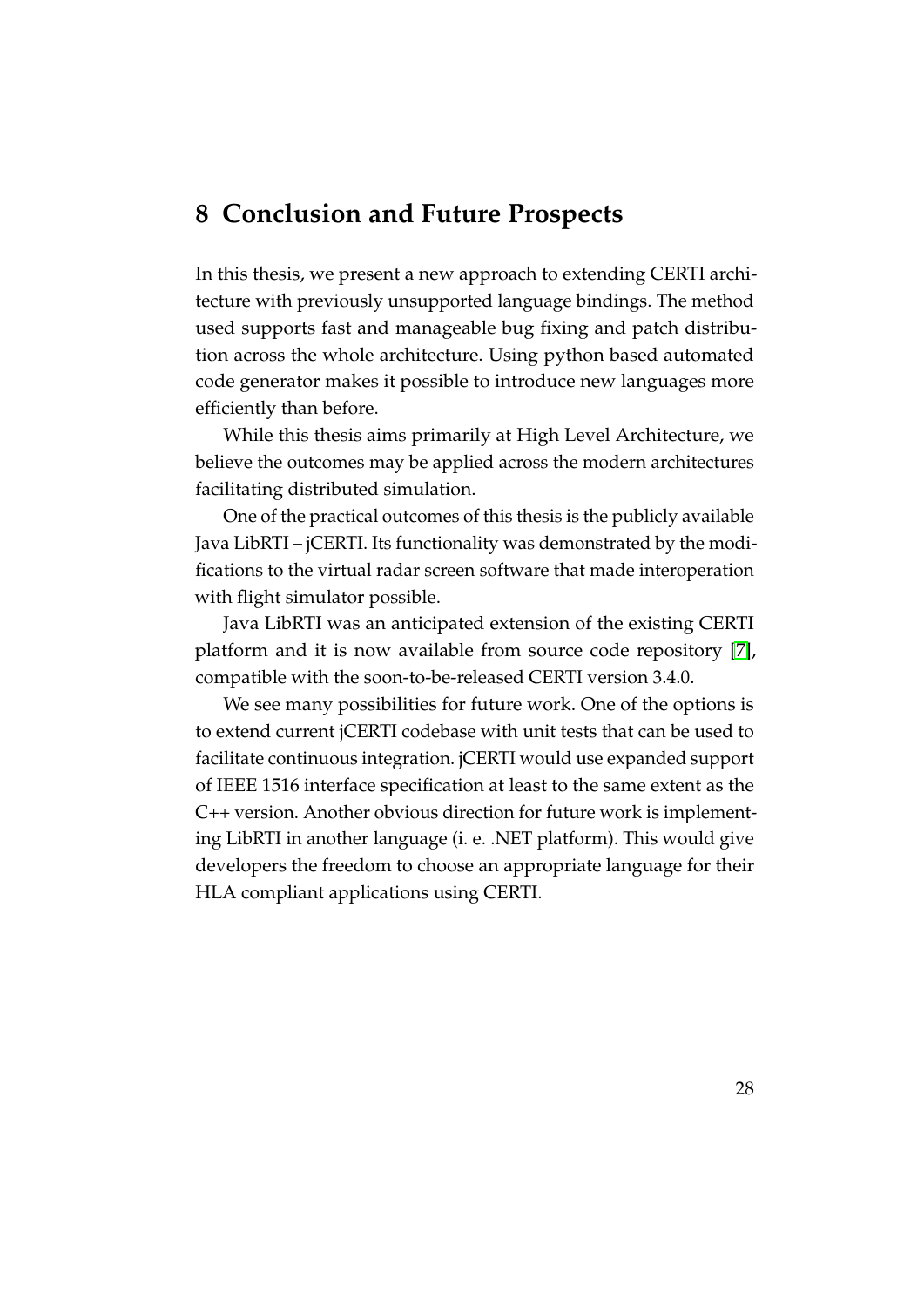### <span id="page-32-0"></span>**8 Conclusion and Future Prospects**

In this thesis, we present a new approach to extending CERTI architecture with previously unsupported language bindings. The method used supports fast and manageable bug fixing and patch distribution across the whole architecture. Using python based automated code generator makes it possible to introduce new languages more efficiently than before.

While this thesis aims primarily at High Level Architecture, we believe the outcomes may be applied across the modern architectures facilitating distributed simulation.

One of the practical outcomes of this thesis is the publicly available Java LibRTI – jCERTI. Its functionality was demonstrated by the modifications to the virtual radar screen software that made interoperation with flight simulator possible.

Java LibRTI was an anticipated extension of the existing CERTI platform and it is now available from source code repository [\[7\]](#page-33-11), compatible with the soon-to-be-released CERTI version 3.4.0.

We see many possibilities for future work. One of the options is to extend current jCERTI codebase with unit tests that can be used to facilitate continuous integration. jCERTI would use expanded support of IEEE 1516 interface specification at least to the same extent as the C++ version. Another obvious direction for future work is implementing LibRTI in another language (i. e. .NET platform). This would give developers the freedom to choose an appropriate language for their HLA compliant applications using CERTI.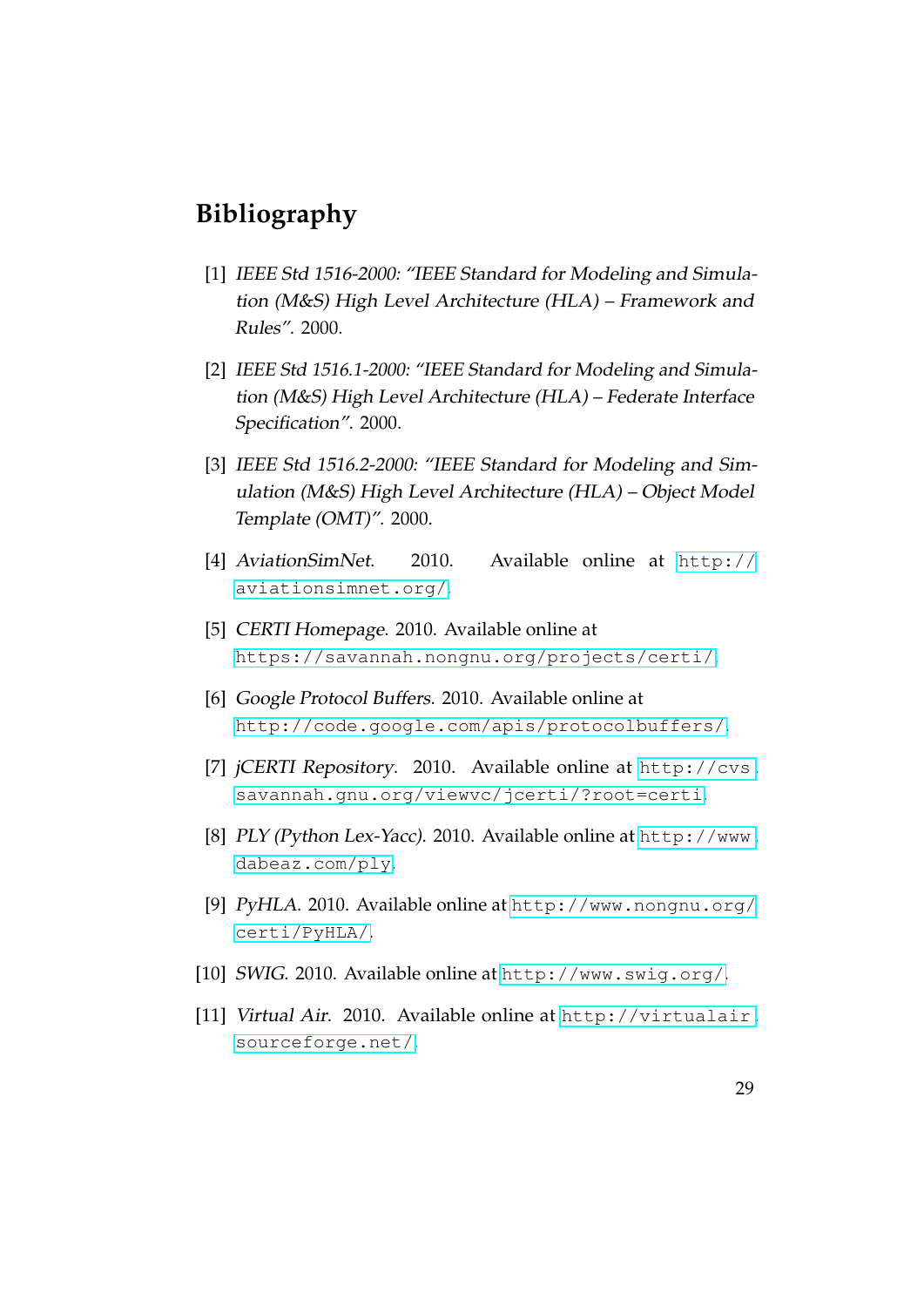# <span id="page-33-0"></span>**Bibliography**

- <span id="page-33-1"></span>[1] IEEE Std 1516-2000: "IEEE Standard for Modeling and Simulation (M&S) High Level Architecture (HLA) – Framework and Rules". 2000.
- <span id="page-33-3"></span>[2] IEEE Std 1516.1-2000: "IEEE Standard for Modeling and Simulation (M&S) High Level Architecture (HLA) – Federate Interface Specification". 2000.
- <span id="page-33-2"></span>[3] IEEE Std 1516.2-2000: "IEEE Standard for Modeling and Simulation (M&S) High Level Architecture (HLA) – Object Model Template (OMT)". 2000.
- <span id="page-33-9"></span>[4] AviationSimNet. 2010. Available online at [http://](http://aviationsimnet.org/) [aviationsimnet.org/](http://aviationsimnet.org/).
- <span id="page-33-4"></span>[5] CERTI Homepage. 2010. Available online at <https://savannah.nongnu.org/projects/certi/>.
- <span id="page-33-6"></span>[6] Google Protocol Buffers. 2010. Available online at <http://code.google.com/apis/protocolbuffers/>.
- <span id="page-33-11"></span>[7] jCERTI Repository. 2010. Available online at [http://cvs.](http://cvs.savannah.gnu.org/viewvc/jcerti/?root=certi) [savannah.gnu.org/viewvc/jcerti/?root=certi](http://cvs.savannah.gnu.org/viewvc/jcerti/?root=certi).
- <span id="page-33-7"></span>[8] PLY (Python Lex-Yacc). 2010. Available online at [http://www.](http://www.dabeaz.com/ply) [dabeaz.com/ply](http://www.dabeaz.com/ply).
- <span id="page-33-8"></span>[9] PyHLA. 2010. Available online at [http://www.nongnu.org/](http://www.nongnu.org/certi/PyHLA/) [certi/PyHLA/](http://www.nongnu.org/certi/PyHLA/).
- <span id="page-33-5"></span>[10] SWIG. 2010. Available online at <http://www.swig.org/>.
- <span id="page-33-10"></span>[11] Virtual Air. 2010. Available online at [http://virtualair.](http://virtualair.sourceforge.net/) [sourceforge.net/](http://virtualair.sourceforge.net/).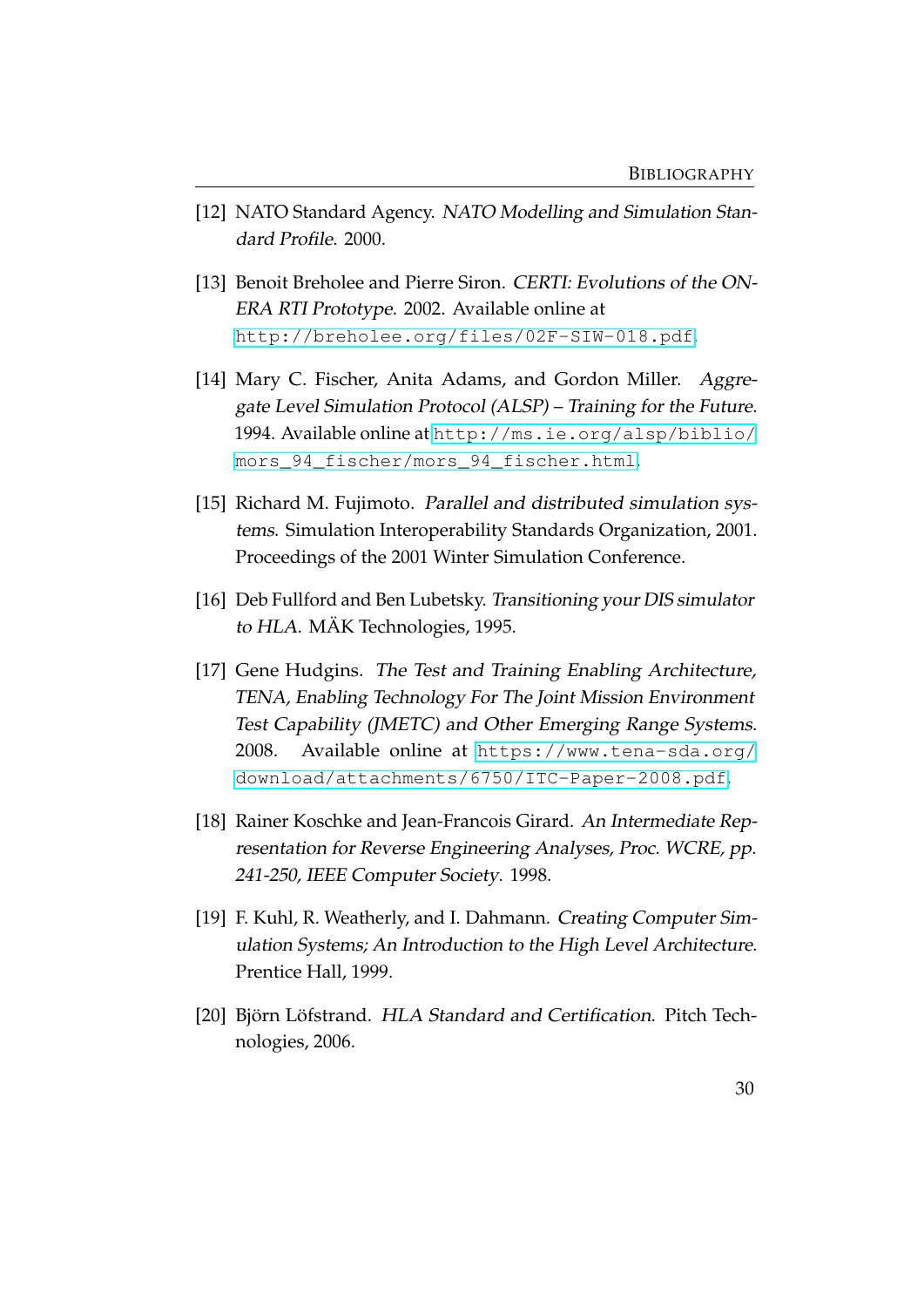- <span id="page-34-6"></span>[12] NATO Standard Agency. NATO Modelling and Simulation Standard Profile. 2000.
- <span id="page-34-7"></span>[13] Benoit Breholee and Pierre Siron. CERTI: Evolutions of the ON-ERA RTI Prototype. 2002. Available online at <http://breholee.org/files/02F-SIW-018.pdf>.
- <span id="page-34-0"></span>[14] Mary C. Fischer, Anita Adams, and Gordon Miller. Aggregate Level Simulation Protocol (ALSP) – Training for the Future. 1994. Available online at [http://ms.ie.org/alsp/biblio/](http://ms.ie.org/alsp/biblio/mors_94_fischer/mors_94_fischer.html) [mors\\_94\\_fischer/mors\\_94\\_fischer.html](http://ms.ie.org/alsp/biblio/mors_94_fischer/mors_94_fischer.html).
- <span id="page-34-2"></span>[15] Richard M. Fujimoto. Parallel and distributed simulation systems. Simulation Interoperability Standards Organization, 2001. Proceedings of the 2001 Winter Simulation Conference.
- <span id="page-34-4"></span>[16] Deb Fullford and Ben Lubetsky. Transitioning your DIS simulator to HLA. MÄK Technologies, 1995.
- <span id="page-34-1"></span>[17] Gene Hudgins. The Test and Training Enabling Architecture, TENA, Enabling Technology For The Joint Mission Environment Test Capability (JMETC) and Other Emerging Range Systems. 2008. Available online at [https://www.tena-sda.org/](https://www.tena-sda.org/download/attachments/6750/ITC-Paper-2008.pdf) [download/attachments/6750/ITC-Paper-2008.pdf](https://www.tena-sda.org/download/attachments/6750/ITC-Paper-2008.pdf).
- <span id="page-34-8"></span>[18] Rainer Koschke and Jean-Francois Girard. An Intermediate Representation for Reverse Engineering Analyses, Proc. WCRE, pp. 241-250, IEEE Computer Society. 1998.
- <span id="page-34-3"></span>[19] F. Kuhl, R. Weatherly, and I. Dahmann. Creating Computer Simulation Systems; An Introduction to the High Level Architecture. Prentice Hall, 1999.
- <span id="page-34-5"></span>[20] Björn Löfstrand. HLA Standard and Certification. Pitch Technologies, 2006.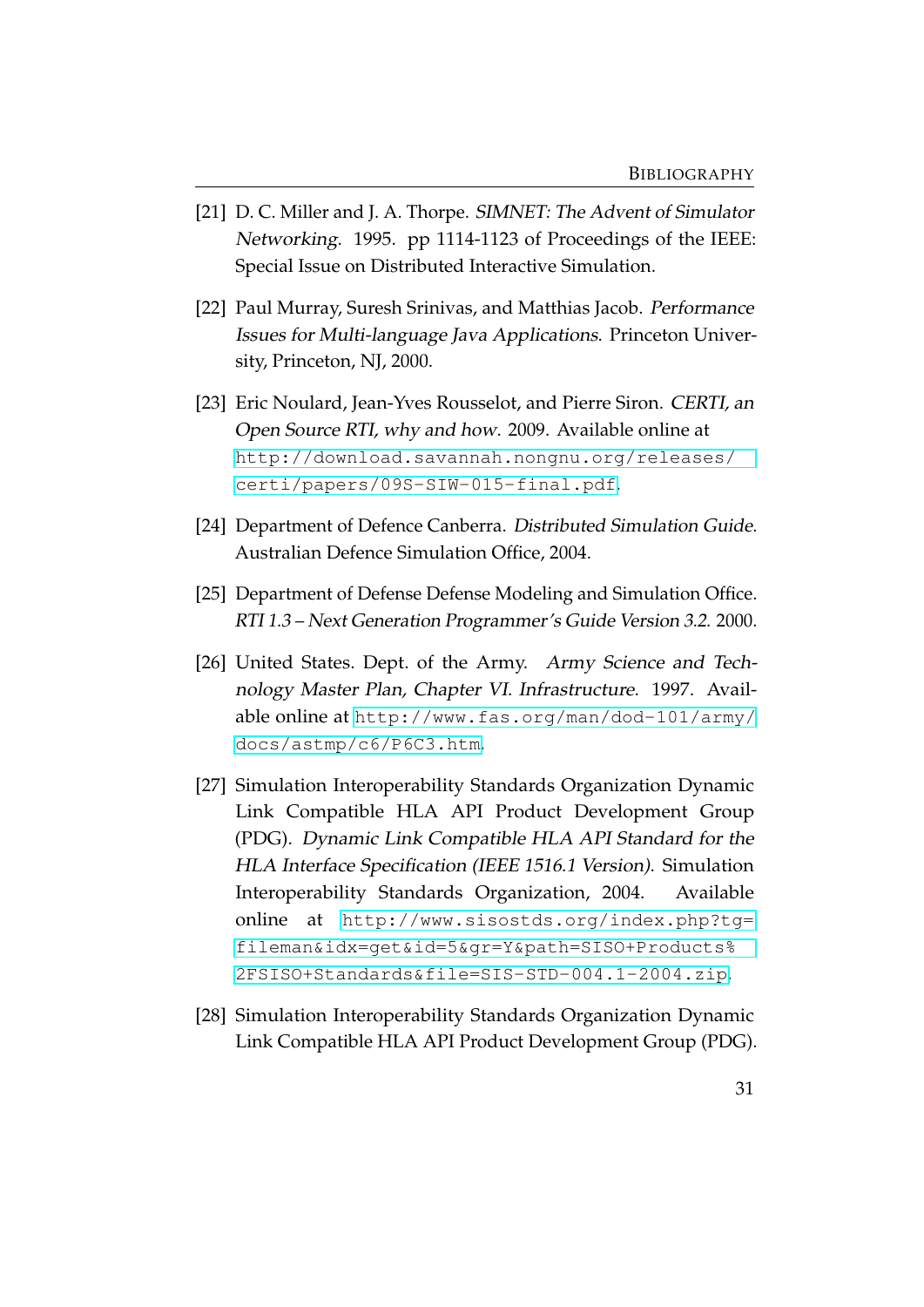- <span id="page-35-3"></span>[21] D. C. Miller and J. A. Thorpe. SIMNET: The Advent of Simulator Networking. 1995. pp 1114-1123 of Proceedings of the IEEE: Special Issue on Distributed Interactive Simulation.
- <span id="page-35-7"></span>[22] Paul Murray, Suresh Srinivas, and Matthias Jacob. Performance Issues for Multi-language Java Applications. Princeton University, Princeton, NJ, 2000.
- <span id="page-35-6"></span>[23] Eric Noulard, Jean-Yves Rousselot, and Pierre Siron. CERTI, an Open Source RTI, why and how. 2009. Available online at [http://download.savannah.nongnu.org/releases/](http://download.savannah.nongnu.org/releases/certi/papers/09S-SIW-015-final.pdf) [certi/papers/09S-SIW-015-final.pdf](http://download.savannah.nongnu.org/releases/certi/papers/09S-SIW-015-final.pdf).
- <span id="page-35-0"></span>[24] Department of Defence Canberra. Distributed Simulation Guide. Australian Defence Simulation Office, 2004.
- <span id="page-35-2"></span>[25] Department of Defense Defense Modeling and Simulation Office. RTI 1.3 – Next Generation Programmer's Guide Version 3.2. 2000.
- <span id="page-35-1"></span>[26] United States. Dept. of the Army. Army Science and Technology Master Plan, Chapter VI. Infrastructure. 1997. Available online at [http://www.fas.org/man/dod-101/army/](http://www.fas.org/man/dod-101/army/docs/astmp/c6/P6C3.htm) [docs/astmp/c6/P6C3.htm](http://www.fas.org/man/dod-101/army/docs/astmp/c6/P6C3.htm).
- <span id="page-35-5"></span>[27] Simulation Interoperability Standards Organization Dynamic Link Compatible HLA API Product Development Group (PDG). Dynamic Link Compatible HLA API Standard for the HLA Interface Specification (IEEE 1516.1 Version). Simulation Interoperability Standards Organization, 2004. Available online at [http://www.sisostds.org/index.php?tg=](http://www.sisostds.org/index.php?tg=fileman&idx=get&id=5&gr=Y&path=SISO+Products%2FSISO+Standards&file=SIS-STD-004.1-2004.zip) [fileman&idx=get&id=5&gr=Y&path=SISO+Products%](http://www.sisostds.org/index.php?tg=fileman&idx=get&id=5&gr=Y&path=SISO+Products%2FSISO+Standards&file=SIS-STD-004.1-2004.zip) [2FSISO+Standards&file=SIS-STD-004.1-2004.zip](http://www.sisostds.org/index.php?tg=fileman&idx=get&id=5&gr=Y&path=SISO+Products%2FSISO+Standards&file=SIS-STD-004.1-2004.zip).
- <span id="page-35-4"></span>[28] Simulation Interoperability Standards Organization Dynamic Link Compatible HLA API Product Development Group (PDG).